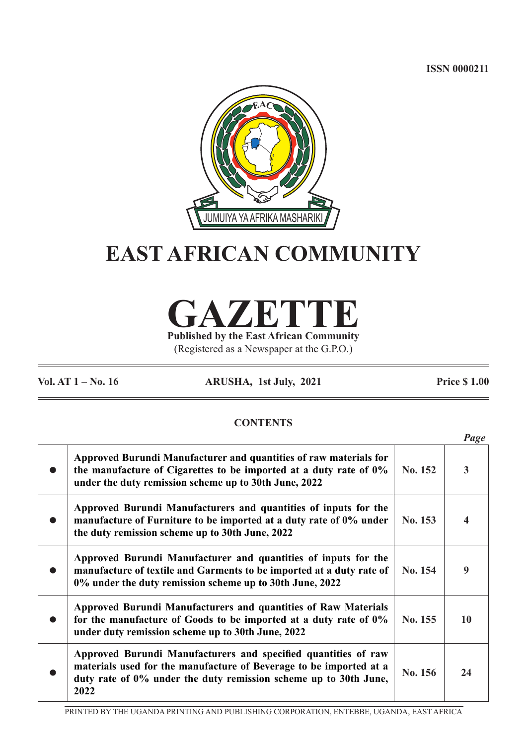**ISSN 0000211**



# **EAST AFRICAN COMMUNITY**



(Registered as a Newspaper at the G.P.O.)

**Vol. AT 1 – No. 16 ARUSHA, 1st July, 2021 Price \$ 1.00**

# **CONTENTS**

|                                                                                                                                                                                                                  |         | Page |
|------------------------------------------------------------------------------------------------------------------------------------------------------------------------------------------------------------------|---------|------|
| Approved Burundi Manufacturer and quantities of raw materials for<br>the manufacture of Cigarettes to be imported at a duty rate of 0%<br>under the duty remission scheme up to 30th June, 2022                  | No. 152 | 3    |
| Approved Burundi Manufacturers and quantities of inputs for the<br>manufacture of Furniture to be imported at a duty rate of 0% under<br>the duty remission scheme up to 30th June, 2022                         | No. 153 |      |
| Approved Burundi Manufacturer and quantities of inputs for the<br>manufacture of textile and Garments to be imported at a duty rate of<br>0% under the duty remission scheme up to 30th June, 2022               | No. 154 | 9    |
| Approved Burundi Manufacturers and quantities of Raw Materials<br>for the manufacture of Goods to be imported at a duty rate of 0%<br>under duty remission scheme up to 30th June, 2022                          | No. 155 | 10   |
| Approved Burundi Manufacturers and specified quantities of raw<br>materials used for the manufacture of Beverage to be imported at a<br>duty rate of 0% under the duty remission scheme up to 30th June,<br>2022 | No. 156 | 24   |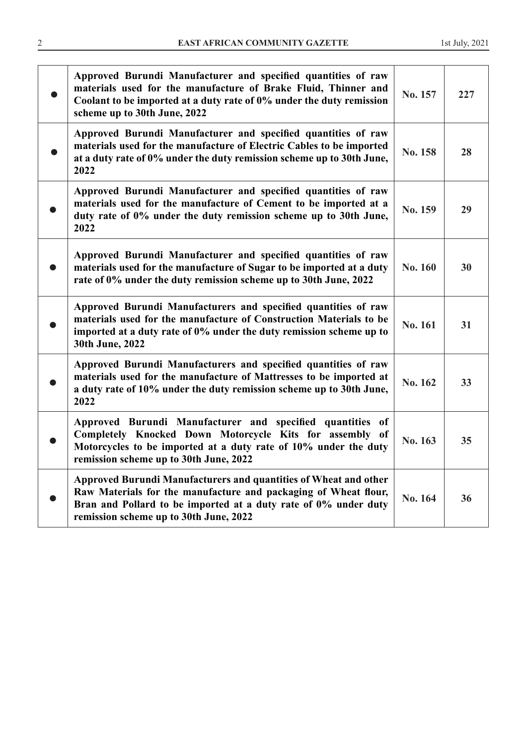| Approved Burundi Manufacturer and specified quantities of raw<br>materials used for the manufacture of Brake Fluid, Thinner and<br>Coolant to be imported at a duty rate of 0% under the duty remission<br>scheme up to 30th June, 2022          | No. 157 | 227 |
|--------------------------------------------------------------------------------------------------------------------------------------------------------------------------------------------------------------------------------------------------|---------|-----|
| Approved Burundi Manufacturer and specified quantities of raw<br>materials used for the manufacture of Electric Cables to be imported<br>at a duty rate of 0% under the duty remission scheme up to 30th June,<br>2022                           | No. 158 | 28  |
| Approved Burundi Manufacturer and specified quantities of raw<br>materials used for the manufacture of Cement to be imported at a<br>duty rate of 0% under the duty remission scheme up to 30th June,<br>2022                                    | No. 159 | 29  |
| Approved Burundi Manufacturer and specified quantities of raw<br>materials used for the manufacture of Sugar to be imported at a duty<br>rate of 0% under the duty remission scheme up to 30th June, 2022                                        | No. 160 | 30  |
| Approved Burundi Manufacturers and specified quantities of raw<br>materials used for the manufacture of Construction Materials to be<br>imported at a duty rate of 0% under the duty remission scheme up to<br>30th June, 2022                   | No. 161 | 31  |
| Approved Burundi Manufacturers and specified quantities of raw<br>materials used for the manufacture of Mattresses to be imported at<br>a duty rate of 10% under the duty remission scheme up to 30th June,<br>2022                              | No. 162 | 33  |
| Approved Burundi Manufacturer and specified quantities of<br>Completely Knocked Down Motorcycle Kits for assembly of<br>Motorcycles to be imported at a duty rate of 10% under the duty<br>remission scheme up to 30th June, 2022                | No. 163 | 35  |
| Approved Burundi Manufacturers and quantities of Wheat and other<br>Raw Materials for the manufacture and packaging of Wheat flour,<br>Bran and Pollard to be imported at a duty rate of 0% under duty<br>remission scheme up to 30th June, 2022 | No. 164 | 36  |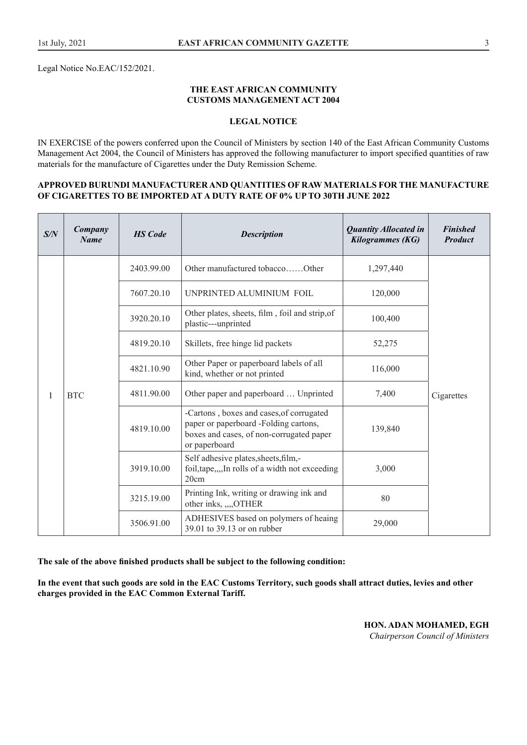Legal Notice No.EAC/152/2021.

#### **THE EAST AFRICAN COMMUNITY CUSTOMS MANAGEMENT ACT 2004**

#### **LEGAL NOTICE**

IN EXERCISE of the powers conferred upon the Council of Ministers by section 140 of the East African Community Customs Management Act 2004, the Council of Ministers has approved the following manufacturer to import specified quantities of raw materials for the manufacture of Cigarettes under the Duty Remission Scheme.

#### **APPROVED BURUNDI MANUFACTURER AND QUANTITIES OF RAW MATERIALS FOR THE MANUFACTURE OF CIGARETTES TO BE IMPORTED AT A DUTY RATE OF 0% UP TO 30TH JUNE 2022**

| S/N | Company<br><b>Name</b> | <b>HS</b> Code | <b>Description</b>                                                                                                                             | <b>Quantity Allocated in</b><br>Kilogrammes (KG)                        | <b>Finished</b><br><b>Product</b> |  |
|-----|------------------------|----------------|------------------------------------------------------------------------------------------------------------------------------------------------|-------------------------------------------------------------------------|-----------------------------------|--|
|     |                        | 2403.99.00     | Other manufactured tobaccoOther                                                                                                                | 1,297,440                                                               |                                   |  |
|     |                        | 7607.20.10     | UNPRINTED ALUMINIUM FOIL                                                                                                                       | 120,000                                                                 |                                   |  |
|     |                        | 3920.20.10     | Other plates, sheets, film, foil and strip, of<br>plastic---unprinted                                                                          | 100,400                                                                 |                                   |  |
|     | <b>BTC</b>             |                | 4819.20.10                                                                                                                                     | Skillets, free hinge lid packets                                        | 52,275                            |  |
|     |                        |                | 4821.10.90                                                                                                                                     | Other Paper or paperboard labels of all<br>kind, whether or not printed | 116,000                           |  |
| 1   |                        | 4811.90.00     | Other paper and paperboard  Unprinted                                                                                                          | 7,400                                                                   | Cigarettes                        |  |
|     |                        | 4819.10.00     | -Cartons, boxes and cases, of corrugated<br>paper or paperboard -Folding cartons,<br>boxes and cases, of non-corrugated paper<br>or paperboard | 139,840                                                                 |                                   |  |
|     |                        | 3919.10.00     | Self adhesive plates, sheets, film,-<br>foil, tape,,,,In rolls of a width not exceeding<br>20cm                                                | 3,000                                                                   |                                   |  |
|     |                        | 3215.19.00     | Printing Ink, writing or drawing ink and<br>other inks, ,,,,OTHER                                                                              | 80                                                                      |                                   |  |
|     |                        | 3506.91.00     | ADHESIVES based on polymers of heaing<br>39.01 to 39.13 or on rubber                                                                           | 29,000                                                                  |                                   |  |

**The sale of the above finished products shall be subject to the following condition:**

**In the event that such goods are sold in the EAC Customs Territory, such goods shall attract duties, levies and other charges provided in the EAC Common External Tariff.**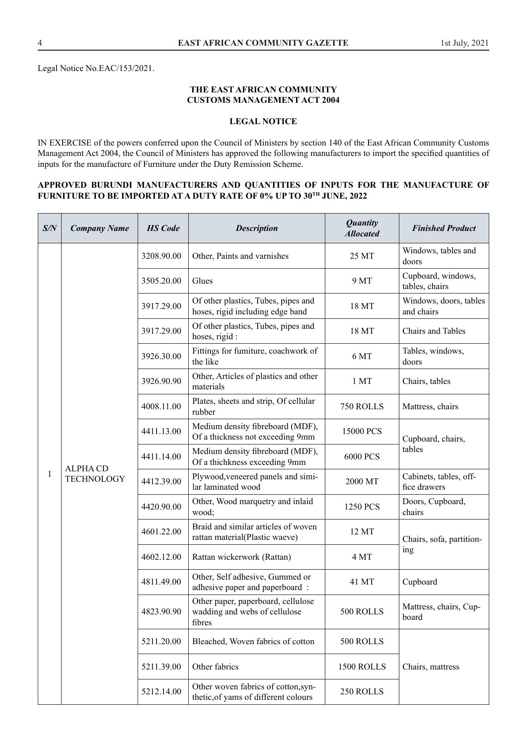Legal Notice No.EAC/153/2021.

#### **THE EAST AFRICAN COMMUNITY CUSTOMS MANAGEMENT ACT 2004**

# **LEGAL NOTICE**

IN EXERCISE of the powers conferred upon the Council of Ministers by section 140 of the East African Community Customs Management Act 2004, the Council of Ministers has approved the following manufacturers to import the specified quantities of inputs for the manufacture of Furniture under the Duty Remission Scheme.

#### **APPROVED BURUNDI MANUFACTURERS AND QUANTITIES OF INPUTS FOR THE MANUFACTURE OF FURNITURE TO BE IMPORTED AT A DUTY RATE OF 0% UP TO 30TH JUNE, 2022**

| S/N          | <b>Company Name</b>                  | <b>HS</b> Code | <b>Description</b>                                                            | <b>Quantity</b><br><b>Allocated</b> | <b>Finished Product</b>                |
|--------------|--------------------------------------|----------------|-------------------------------------------------------------------------------|-------------------------------------|----------------------------------------|
|              |                                      | 3208.90.00     | Other, Paints and varnishes                                                   | 25 MT                               | Windows, tables and<br>doors           |
|              |                                      | 3505.20.00     | Glues                                                                         | 9 MT                                | Cupboard, windows,<br>tables, chairs   |
|              |                                      | 3917.29.00     | Of other plastics, Tubes, pipes and<br>hoses, rigid including edge band       | 18 MT                               | Windows, doors, tables<br>and chairs   |
|              |                                      | 3917.29.00     | Of other plastics, Tubes, pipes and<br>hoses, rigid :                         | 18 MT                               | Chairs and Tables                      |
|              |                                      | 3926.30.00     | Fittings for fumiture, coachwork of<br>the like                               | 6 MT                                | Tables, windows,<br>doors              |
|              |                                      | 3926.90.90     | Other, Articles of plastics and other<br>materials                            | 1 MT                                | Chairs, tables                         |
|              | <b>ALPHA CD</b><br><b>TECHNOLOGY</b> | 4008.11.00     | Plates, sheets and strip, Of cellular<br>rubber                               | 750 ROLLS                           | Mattress, chairs                       |
|              |                                      | 4411.13.00     | Medium density fibreboard (MDF),<br>Of a thickness not exceeding 9mm          | 15000 PCS                           | Cupboard, chairs,                      |
|              |                                      | 4411.14.00     | Medium density fibreboard (MDF),<br>Of a thichkness exceeding 9mm             | 6000 PCS                            | tables                                 |
| $\mathbf{1}$ |                                      | 4412.39.00     | Plywood, veneered panels and simi-<br>lar laminated wood                      | 2000 MT                             | Cabinets, tables, off-<br>fice drawers |
|              |                                      | 4420.90.00     | Other, Wood marquetry and inlaid<br>wood;                                     | 1250 PCS                            | Doors, Cupboard,<br>chairs             |
|              |                                      | 4601.22.00     | Braid and similar articles of woven<br>rattan material(Plastic waeve)         | 12 MT                               | Chairs, sofa, partition-               |
|              |                                      | 4602.12.00     | Rattan wickerwork (Rattan)                                                    | 4 MT                                | ing                                    |
|              |                                      | 4811.49.00     | Other, Self adhesive, Gummed or<br>adhesive paper and paperboard :            | 41 MT                               | Cupboard                               |
|              |                                      | 4823.90.90     | Other paper, paperboard, cellulose<br>wadding and webs of cellulose<br>fibres | 500 ROLLS                           | Mattress, chairs, Cup-<br>board        |
|              |                                      | 5211.20.00     | Bleached, Woven fabrics of cotton                                             | 500 ROLLS                           |                                        |
|              |                                      | 5211.39.00     | Other fabrics                                                                 | 1500 ROLLS                          | Chairs, mattress                       |
|              |                                      | 5212.14.00     | Other woven fabrics of cotton, syn-<br>thetic, of yams of different colours   | 250 ROLLS                           |                                        |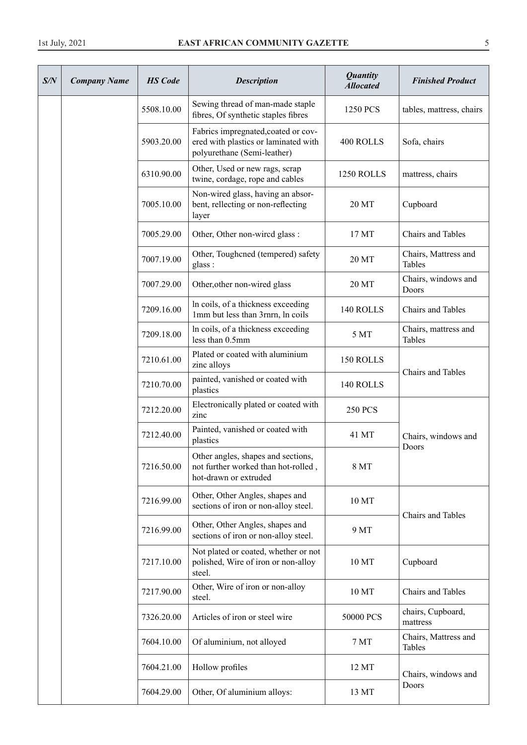| S/N | <b>Company Name</b> | <b>HS</b> Code | <b>Description</b>                                                                                         | <b>Quantity</b><br><b>Allocated</b> | <b>Finished Product</b>               |
|-----|---------------------|----------------|------------------------------------------------------------------------------------------------------------|-------------------------------------|---------------------------------------|
|     |                     | 5508.10.00     | Sewing thread of man-made staple<br>fibres, Of synthetic staples fibres                                    | 1250 PCS                            | tables, mattress, chairs              |
|     |                     | 5903.20.00     | Fabrics impregnated, coated or cov-<br>ered with plastics or laminated with<br>polyurethane (Semi-leather) | 400 ROLLS                           | Sofa, chairs                          |
|     |                     | 6310.90.00     | Other, Used or new rags, scrap<br>twine, cordage, rope and cables                                          | 1250 ROLLS                          | mattress, chairs                      |
|     |                     | 7005.10.00     | Non-wired glass, having an absor-<br>bent, rellecting or non-reflecting<br>layer                           | 20 MT                               | Cupboard                              |
|     |                     | 7005.29.00     | Other, Other non-wired glass :                                                                             | 17 MT                               | Chairs and Tables                     |
|     |                     | 7007.19.00     | Other, Toughcned (tempered) safety<br>glass:                                                               | 20 MT                               | Chairs, Mattress and<br>Tables        |
|     |                     | 7007.29.00     | Other, other non-wired glass                                                                               | 20 MT                               | Chairs, windows and<br>Doors          |
|     |                     | 7209.16.00     | In coils, of a thickness exceeding<br>1mm but less than 3mm, ln coils                                      | 140 ROLLS                           | Chairs and Tables                     |
|     |                     | 7209.18.00     | In coils, of a thickness exceeding<br>less than 0.5mm                                                      | 5 MT                                | Chairs, mattress and<br><b>Tables</b> |
|     |                     | 7210.61.00     | Plated or coated with aluminium<br>zinc alloys                                                             | 150 ROLLS                           |                                       |
|     |                     | 7210.70.00     | painted, vanished or coated with<br>plastics                                                               | 140 ROLLS                           | Chairs and Tables                     |
|     |                     | 7212.20.00     | Electronically plated or coated with<br>zinc                                                               | <b>250 PCS</b>                      |                                       |
|     |                     | 7212.40.00     | Painted, vanished or coated with<br>plastics                                                               | 41 MT                               | Chairs, windows and<br>Doors          |
|     |                     | 7216.50.00     | Other angles, shapes and sections,<br>not further worked than hot-rolled,<br>hot-drawn or extruded         | 8 MT                                |                                       |
|     |                     | 7216.99.00     | Other, Other Angles, shapes and<br>sections of iron or non-alloy steel.                                    | 10 MT                               |                                       |
|     |                     | 7216.99.00     | Other, Other Angles, shapes and<br>sections of iron or non-alloy steel.                                    | 9 MT                                | Chairs and Tables                     |
|     |                     | 7217.10.00     | Not plated or coated, whether or not<br>polished, Wire of iron or non-alloy<br>steel.                      | 10 MT                               | Cupboard                              |
|     |                     | 7217.90.00     | Other, Wire of iron or non-alloy<br>steel.                                                                 | 10 MT                               | Chairs and Tables                     |
|     |                     | 7326.20.00     | Articles of iron or steel wire                                                                             | 50000 PCS                           | chairs, Cupboard,<br>mattress         |
|     |                     | 7604.10.00     | Of aluminium, not alloyed                                                                                  | 7 MT                                | Chairs, Mattress and<br><b>Tables</b> |
|     |                     | 7604.21.00     | Hollow profiles                                                                                            | 12 MT                               | Chairs, windows and                   |
|     |                     | 7604.29.00     | Other, Of aluminium alloys:                                                                                | 13 MT                               | Doors                                 |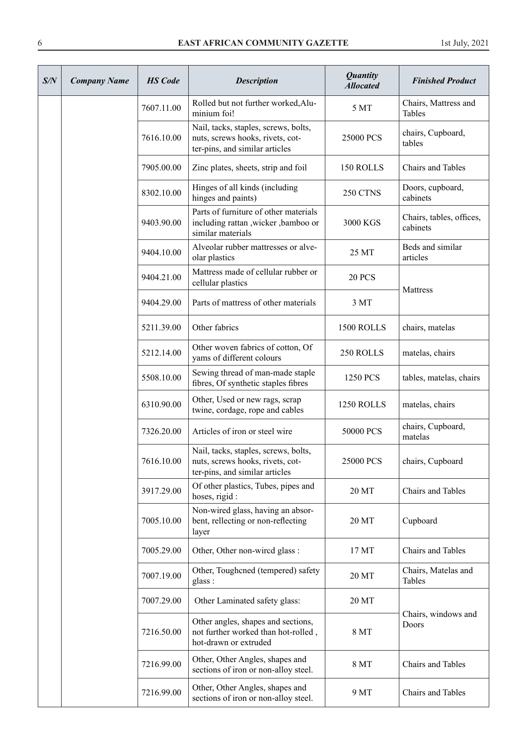| S/N | <b>Company Name</b> | <b>HS</b> Code | <b>Description</b>                                                                                         | <b>Quantity</b><br><b>Allocated</b> | <b>Finished Product</b>              |
|-----|---------------------|----------------|------------------------------------------------------------------------------------------------------------|-------------------------------------|--------------------------------------|
|     |                     | 7607.11.00     | Rolled but not further worked, Alu-<br>minium foi!                                                         | 5 MT                                | Chairs, Mattress and<br>Tables       |
|     |                     | 7616.10.00     | Nail, tacks, staples, screws, bolts,<br>nuts, screws hooks, rivets, cot-<br>ter-pins, and similar articles | 25000 PCS                           | chairs, Cupboard,<br>tables          |
|     |                     | 7905.00.00     | Zinc plates, sheets, strip and foil                                                                        | 150 ROLLS                           | Chairs and Tables                    |
|     |                     | 8302.10.00     | Hinges of all kinds (including<br>hinges and paints)                                                       | 250 CTNS                            | Doors, cupboard,<br>cabinets         |
|     |                     | 9403.90.00     | Parts of furniture of other materials<br>including rattan , wicker , bamboo or<br>similar materials        | 3000 KGS                            | Chairs, tables, offices,<br>cabinets |
|     |                     | 9404.10.00     | Alveolar rubber mattresses or alve-<br>olar plastics                                                       | 25 MT                               | Beds and similar<br>articles         |
|     |                     | 9404.21.00     | Mattress made of cellular rubber or<br>cellular plastics                                                   | <b>20 PCS</b>                       | Mattress                             |
|     |                     | 9404.29.00     | Parts of mattress of other materials                                                                       | 3 MT                                |                                      |
|     |                     | 5211.39.00     | Other fabrics                                                                                              | 1500 ROLLS                          | chairs, matelas                      |
|     |                     | 5212.14.00     | Other woven fabrics of cotton, Of<br>yams of different colours                                             | 250 ROLLS                           | matelas, chairs                      |
|     |                     | 5508.10.00     | Sewing thread of man-made staple<br>fibres, Of synthetic staples fibres                                    | 1250 PCS                            | tables, matelas, chairs              |
|     |                     | 6310.90.00     | Other, Used or new rags, scrap<br>twine, cordage, rope and cables                                          | 1250 ROLLS                          | matelas, chairs                      |
|     |                     | 7326.20.00     | Articles of iron or steel wire                                                                             | 50000 PCS                           | chairs, Cupboard,<br>matelas         |
|     |                     | 7616.10.00     | Nail, tacks, staples, screws, bolts,<br>nuts, screws hooks, rivets, cot-<br>ter-pins, and similar articles | 25000 PCS                           | chairs, Cupboard                     |
|     |                     | 3917.29.00     | Of other plastics, Tubes, pipes and<br>hoses, rigid :                                                      | 20 MT                               | Chairs and Tables                    |
|     |                     | 7005.10.00     | Non-wired glass, having an absor-<br>bent, rellecting or non-reflecting<br>layer                           | 20 MT                               | Cupboard                             |
|     |                     | 7005.29.00     | Other, Other non-wired glass :                                                                             | 17 MT                               | Chairs and Tables                    |
|     |                     | 7007.19.00     | Other, Toughcned (tempered) safety<br>glass :                                                              | 20 MT                               | Chairs, Matelas and<br>Tables        |
|     |                     | 7007.29.00     | Other Laminated safety glass:                                                                              | 20 MT                               |                                      |
|     |                     | 7216.50.00     | Other angles, shapes and sections,<br>not further worked than hot-rolled,<br>hot-drawn or extruded         | 8 MT                                | Chairs, windows and<br>Doors         |
|     |                     | 7216.99.00     | Other, Other Angles, shapes and<br>sections of iron or non-alloy steel.                                    | 8 MT                                | Chairs and Tables                    |
|     |                     | 7216.99.00     | Other, Other Angles, shapes and<br>sections of iron or non-alloy steel.                                    | 9 MT                                | Chairs and Tables                    |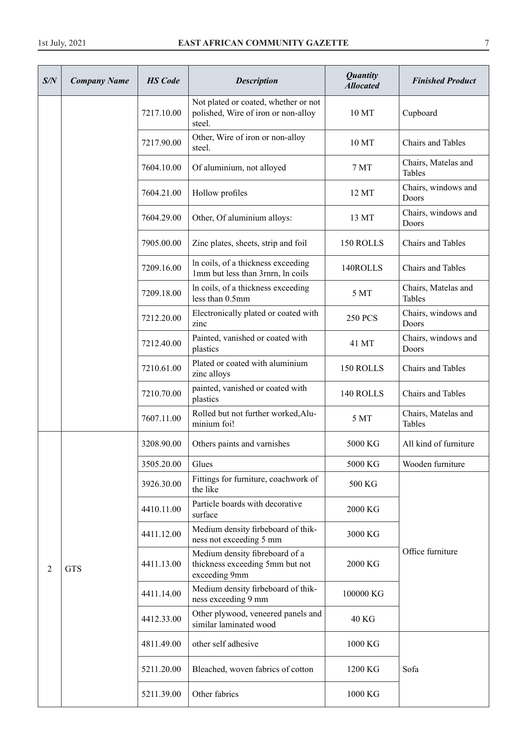| S/N | <b>Company Name</b> | <b>HS</b> Code | <b>Description</b>                                                                    | <b>Quantity</b><br><b>Allocated</b> | <b>Finished Product</b>       |
|-----|---------------------|----------------|---------------------------------------------------------------------------------------|-------------------------------------|-------------------------------|
|     |                     | 7217.10.00     | Not plated or coated, whether or not<br>polished, Wire of iron or non-alloy<br>steel. | 10 MT                               | Cupboard                      |
|     |                     | 7217.90.00     | Other, Wire of iron or non-alloy<br>steel.                                            | 10 MT                               | Chairs and Tables             |
|     |                     | 7604.10.00     | Of aluminium, not alloyed                                                             | 7 MT                                | Chairs, Matelas and<br>Tables |
|     |                     | 7604.21.00     | Hollow profiles                                                                       | 12 MT                               | Chairs, windows and<br>Doors  |
|     |                     | 7604.29.00     | Other, Of aluminium alloys:                                                           | 13 MT                               | Chairs, windows and<br>Doors  |
|     |                     | 7905.00.00     | Zinc plates, sheets, strip and foil                                                   | 150 ROLLS                           | <b>Chairs and Tables</b>      |
|     |                     | 7209.16.00     | In coils, of a thickness exceeding<br>1mm but less than 3rnrn, ln coils               | 140ROLLS                            | Chairs and Tables             |
|     |                     | 7209.18.00     | In coils, of a thickness exceeding<br>less than 0.5mm                                 | 5 MT                                | Chairs, Matelas and<br>Tables |
|     |                     | 7212.20.00     | Electronically plated or coated with<br>zinc                                          | <b>250 PCS</b>                      | Chairs, windows and<br>Doors  |
|     |                     | 7212.40.00     | Painted, vanished or coated with<br>plastics                                          | 41 MT                               | Chairs, windows and<br>Doors  |
|     |                     | 7210.61.00     | Plated or coated with aluminium<br>zinc alloys                                        | 150 ROLLS                           | Chairs and Tables             |
|     |                     | 7210.70.00     | painted, vanished or coated with<br>plastics                                          | 140 ROLLS                           | <b>Chairs and Tables</b>      |
|     |                     | 7607.11.00     | Rolled but not further worked, Alu-<br>minium foi!                                    | 5 MT                                | Chairs, Matelas and<br>Tables |
|     |                     | 3208.90.00     | Others paints and varnishes                                                           | 5000 KG                             | All kind of furniture         |
|     |                     | 3505.20.00     | Glues                                                                                 | 5000 KG                             | Wooden furniture              |
|     |                     | 3926.30.00     | Fittings for furniture, coachwork of<br>the like                                      | 500 KG                              |                               |
|     |                     | 4410.11.00     | Particle boards with decorative<br>surface                                            | 2000 KG                             |                               |
|     |                     | 4411.12.00     | Medium density firbeboard of thik-<br>ness not exceeding 5 mm                         | 3000 KG                             |                               |
| 2   | <b>GTS</b>          | 4411.13.00     | Medium density fibreboard of a<br>thickness exceeding 5mm but not<br>exceeding 9mm    | 2000 KG                             | Office furniture              |
|     |                     | 4411.14.00     | Medium density firbeboard of thik-<br>ness exceeding 9 mm                             | 100000 KG                           |                               |
|     |                     | 4412.33.00     | Other plywood, veneered panels and<br>similar laminated wood                          | <b>40 KG</b>                        |                               |
|     |                     | 4811.49.00     | other self adhesive                                                                   | 1000 KG                             |                               |
|     |                     | 5211.20.00     | Bleached, woven fabrics of cotton                                                     | 1200 KG                             | Sofa                          |
|     |                     | 5211.39.00     | Other fabrics                                                                         | 1000 KG                             |                               |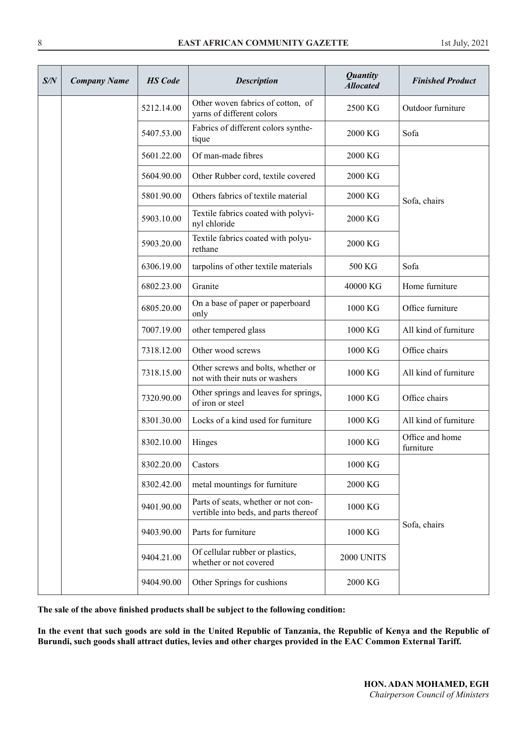| S/N | <b>Company Name</b> | <b>HS</b> Code | <b>Description</b>                                                           | <b>Quantity</b><br><b>Allocated</b> | <b>Finished Product</b>      |
|-----|---------------------|----------------|------------------------------------------------------------------------------|-------------------------------------|------------------------------|
|     |                     | 5212.14.00     | Other woven fabrics of cotton, of<br>varns of different colors               | 2500 KG                             | Outdoor furniture            |
|     |                     | 5407.53.00     | Fabrics of different colors synthe-<br>tique                                 | 2000 KG                             | Sofa                         |
|     |                     | 5601.22.00     | Of man-made fibres                                                           | 2000 KG                             |                              |
|     |                     | 5604.90.00     | Other Rubber cord, textile covered                                           | 2000 KG                             |                              |
|     |                     | 5801.90.00     | Others fabrics of textile material                                           | 2000 KG                             | Sofa, chairs                 |
|     |                     | 5903.10.00     | Textile fabrics coated with polyvi-<br>nyl chloride                          | 2000 KG                             |                              |
|     |                     | 5903.20.00     | Textile fabrics coated with polyu-<br>rethane                                | 2000 KG                             |                              |
|     |                     | 6306.19.00     | tarpolins of other textile materials                                         | 500 KG                              | Sofa                         |
|     |                     | 6802.23.00     | Granite                                                                      | 40000 KG                            | Home furniture               |
|     |                     | 6805.20.00     | On a base of paper or paperboard<br>only                                     | 1000 KG                             | Office furniture             |
|     |                     | 7007.19.00     | other tempered glass                                                         | 1000 KG                             | All kind of furniture        |
|     |                     | 7318.12.00     | Other wood screws                                                            | 1000 KG                             | Office chairs                |
|     |                     | 7318.15.00     | Other screws and bolts, whether or<br>not with their nuts or washers         | 1000 KG                             | All kind of furniture        |
|     |                     | 7320.90.00     | Other springs and leaves for springs,<br>of iron or steel                    | 1000 KG                             | Office chairs                |
|     |                     | 8301.30.00     | Locks of a kind used for furniture                                           | 1000 KG                             | All kind of furniture        |
|     |                     | 8302.10.00     | Hinges                                                                       | 1000 KG                             | Office and home<br>furniture |
|     |                     | 8302.20.00     | Castors                                                                      | 1000 KG                             |                              |
|     |                     | 8302.42.00     | metal mountings for furniture                                                | 2000 KG                             |                              |
|     |                     | 9401.90.00     | Parts of seats, whether or not con-<br>vertible into beds, and parts thereof | 1000 KG                             |                              |
|     |                     | 9403.90.00     | Parts for furniture                                                          | 1000 KG                             | Sofa, chairs                 |
|     |                     | 9404.21.00     | Of cellular rubber or plastics,<br>whether or not covered                    | 2000 UNITS                          |                              |
|     |                     | 9404.90.00     | Other Springs for cushions                                                   | 2000 KG                             |                              |

**The sale of the above finished products shall be subject to the following condition:** 

**In the event that such goods are sold in the United Republic of Tanzania, the Republic of Kenya and the Republic of Burundi, such goods shall attract duties, levies and other charges provided in the EAC Common External Tariff.**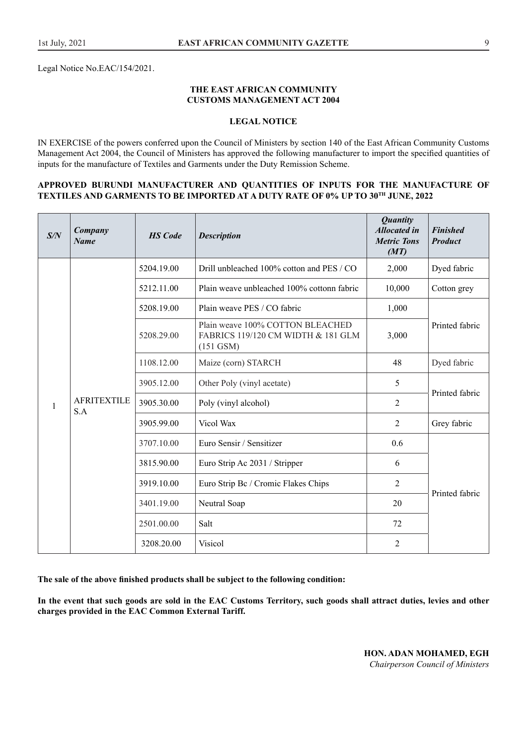Legal Notice No.EAC/154/2021.

#### **THE EAST AFRICAN COMMUNITY CUSTOMS MANAGEMENT ACT 2004**

#### **LEGAL NOTICE**

IN EXERCISE of the powers conferred upon the Council of Ministers by section 140 of the East African Community Customs Management Act 2004, the Council of Ministers has approved the following manufacturer to import the specified quantities of inputs for the manufacture of Textiles and Garments under the Duty Remission Scheme.

#### **APPROVED BURUNDI MANUFACTURER AND QUANTITIES OF INPUTS FOR THE MANUFACTURE OF TEXTILES AND GARMENTS TO BE IMPORTED AT A DUTY RATE OF 0% UP TO 30TH JUNE, 2022**

| S/N | Company<br><b>Name</b>    | <b>HS</b> Code | <b>Description</b>                                                                    | <b>Quantity</b><br><b>Allocated in</b><br><b>Metric Tons</b><br>(MT) | <b>Finished</b><br><b>Product</b> |
|-----|---------------------------|----------------|---------------------------------------------------------------------------------------|----------------------------------------------------------------------|-----------------------------------|
|     |                           | 5204.19.00     | Drill unbleached 100% cotton and PES / CO                                             | 2,000                                                                | Dyed fabric                       |
|     |                           | 5212.11.00     | Plain weave unbleached 100% cottonn fabric                                            | 10,000                                                               | Cotton grey                       |
|     |                           | 5208.19.00     | Plain weave PES / CO fabric                                                           | 1,000                                                                |                                   |
|     | <b>AFRITEXTILE</b><br>S.A | 5208.29.00     | Plain weave 100% COTTON BLEACHED<br>FABRICS 119/120 CM WIDTH & 181 GLM<br>$(151$ GSM) | 3,000                                                                | Printed fabric                    |
|     |                           | 1108.12.00     | Maize (corn) STARCH                                                                   | 48                                                                   | Dyed fabric                       |
|     |                           | 3905.12.00     | Other Poly (vinyl acetate)                                                            | 5                                                                    | Printed fabric                    |
| 1   |                           | 3905.30.00     | Poly (vinyl alcohol)                                                                  | 2                                                                    |                                   |
|     |                           | 3905.99.00     | Vicol Wax                                                                             | 2                                                                    | Grey fabric                       |
|     |                           | 3707.10.00     | Euro Sensir / Sensitizer                                                              | 0.6                                                                  |                                   |
|     |                           | 3815.90.00     | Euro Strip Ac 2031 / Stripper                                                         | 6                                                                    |                                   |
|     |                           | 3919.10.00     | Euro Strip Bc / Cromic Flakes Chips                                                   | $\overline{2}$                                                       | Printed fabric                    |
|     |                           | 3401.19.00     | Neutral Soap                                                                          | 20                                                                   |                                   |
|     |                           | 2501.00.00     | Salt                                                                                  | 72                                                                   |                                   |
|     |                           | 3208.20.00     | Visicol                                                                               | 2                                                                    |                                   |

**The sale of the above finished products shall be subject to the following condition:** 

**In the event that such goods are sold in the EAC Customs Territory, such goods shall attract duties, levies and other charges provided in the EAC Common External Tariff.**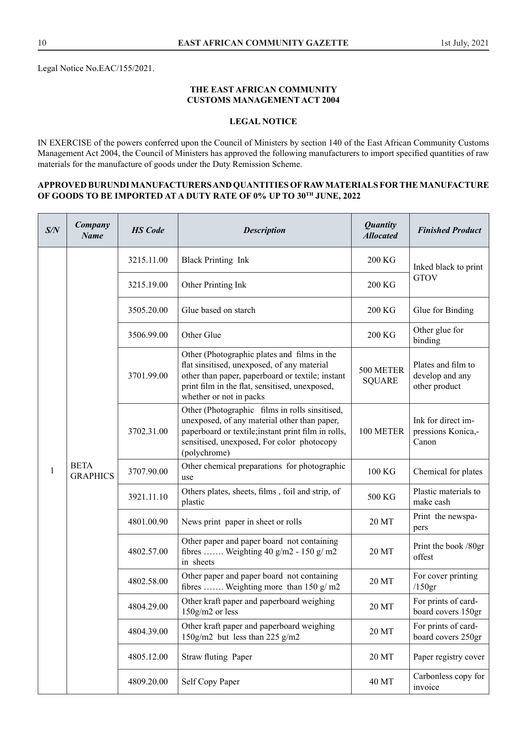#### **THE EAST AFRICAN COMMUNITY CUSTOMS MANAGEMENT ACT 2004**

# **LEGAL NOTICE**

IN EXERCISE of the powers conferred upon the Council of Ministers by section 140 of the East African Community Customs Management Act 2004, the Council of Ministers has approved the following manufacturers to import specified quantities of raw materials for the manufacture of goods under the Duty Remission Scheme.

#### **APPROVED BURUNDI MANUFACTURERS AND QUANTITIES OF RAW MATERIALS FOR THE MANUFACTURE**  OF GOODS TO BE IMPORTED AT A DUTY RATE OF 0% UP TO 30<sup>TH</sup> JUNE, 2022

| S/N | Company<br><b>Name</b>              | <b>HS</b> Code | <b>Description</b>                                                                                                                                                                                                          | <b>Quantity</b><br><b>Allocated</b>                                                                                                                                                                                 | <b>Finished Product</b>                                |
|-----|-------------------------------------|----------------|-----------------------------------------------------------------------------------------------------------------------------------------------------------------------------------------------------------------------------|---------------------------------------------------------------------------------------------------------------------------------------------------------------------------------------------------------------------|--------------------------------------------------------|
|     |                                     | 3215.11.00     | <b>Black Printing Ink</b>                                                                                                                                                                                                   | 200 KG                                                                                                                                                                                                              | Inked black to print                                   |
|     |                                     | 3215.19.00     | Other Printing Ink                                                                                                                                                                                                          | 200 KG                                                                                                                                                                                                              | <b>GTOV</b>                                            |
|     |                                     | 3505.20.00     | Glue based on starch                                                                                                                                                                                                        | 200 KG                                                                                                                                                                                                              | Glue for Binding                                       |
|     |                                     | 3506.99.00     | Other Glue                                                                                                                                                                                                                  | 200 KG                                                                                                                                                                                                              | Other glue for<br>binding                              |
|     | <b>BETA</b><br>1<br><b>GRAPHICS</b> | 3701.99.00     | Other (Photographic plates and films in the<br>flat sinsitised, unexposed, of any material<br>other than paper, paperboard or textile; instant<br>print film in the flat, sensitised, unexposed,<br>whether or not in packs | 500 METER<br><b>SQUARE</b>                                                                                                                                                                                          | Plates and film to<br>develop and any<br>other product |
|     |                                     |                | 3702.31.00                                                                                                                                                                                                                  | Other (Photographic films in rolls sinsitised,<br>unexposed, of any material other than paper,<br>paperboard or textile; instant print film in rolls,<br>sensitised, unexposed, For color photocopy<br>(polychrome) | 100 METER                                              |
|     |                                     | 3707.90.00     | Other chemical preparations for photographic<br>use                                                                                                                                                                         | 100 KG                                                                                                                                                                                                              | Chemical for plates                                    |
|     |                                     | 3921.11.10     | Others plates, sheets, films, foil and strip, of<br>plastic                                                                                                                                                                 | 500 KG                                                                                                                                                                                                              | Plastic materials to<br>make cash                      |
|     |                                     | 4801.00.90     | News print paper in sheet or rolls                                                                                                                                                                                          | 20 MT                                                                                                                                                                                                               | Print the newspa-<br>pers                              |
|     |                                     | 4802.57.00     | Other paper and paper board not containing<br>fibres  Weighting 40 g/m2 - 150 g/m2<br>in sheets                                                                                                                             | 20 MT                                                                                                                                                                                                               | Print the book /80gr<br>offest                         |
|     |                                     | 4802.58.00     | Other paper and paper board not containing<br>fibres  Weighting more than 150 g/m2                                                                                                                                          | 20 MT                                                                                                                                                                                                               | For cover printing<br>$/150$ gr                        |
|     |                                     | 4804.29.00     | Other kraft paper and paperboard weighing<br>$150g/m2$ or less                                                                                                                                                              | 20 MT                                                                                                                                                                                                               | For prints of card-<br>board covers 150gr              |
|     |                                     | 4804.39.00     | Other kraft paper and paperboard weighing<br>150g/m2 but less than 225 g/m2                                                                                                                                                 | 20 MT                                                                                                                                                                                                               | For prints of card-<br>board covers 250gr              |
|     |                                     | 4805.12.00     | Straw fluting Paper                                                                                                                                                                                                         | 20 MT                                                                                                                                                                                                               | Paper registry cover                                   |
|     |                                     | 4809.20.00     | Self Copy Paper                                                                                                                                                                                                             | 40 MT                                                                                                                                                                                                               | Carbonless copy for<br>invoice                         |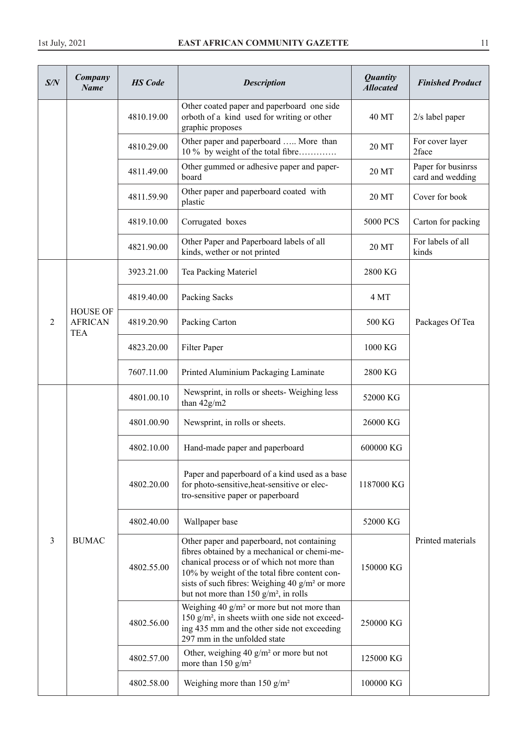| S/N            | Company<br><b>Name</b>                          | <b>HS</b> Code | <b>Description</b>                                                                                                                                                                                                                                                                                  | <b>Quantity</b><br><b>Allocated</b> | <b>Finished Product</b>                |
|----------------|-------------------------------------------------|----------------|-----------------------------------------------------------------------------------------------------------------------------------------------------------------------------------------------------------------------------------------------------------------------------------------------------|-------------------------------------|----------------------------------------|
|                |                                                 | 4810.19.00     | Other coated paper and paperboard one side<br>orboth of a kind used for writing or other<br>graphic proposes                                                                                                                                                                                        | 40 MT                               | $2/s$ label paper                      |
|                |                                                 | 4810.29.00     | Other paper and paperboard  More than<br>10 % by weight of the total fibre                                                                                                                                                                                                                          | 20 MT                               | For cover layer<br>2face               |
|                |                                                 | 4811.49.00     | Other gummed or adhesive paper and paper-<br>board                                                                                                                                                                                                                                                  | 20 MT                               | Paper for businrss<br>card and wedding |
|                |                                                 | 4811.59.90     | Other paper and paperboard coated with<br>plastic                                                                                                                                                                                                                                                   | 20 MT                               | Cover for book                         |
|                |                                                 | 4819.10.00     | Corrugated boxes                                                                                                                                                                                                                                                                                    | <b>5000 PCS</b>                     | Carton for packing                     |
|                |                                                 | 4821.90.00     | Other Paper and Paperboard labels of all<br>kinds, wether or not printed                                                                                                                                                                                                                            | 20 MT                               | For labels of all<br>kinds             |
|                |                                                 | 3923.21.00     | Tea Packing Materiel                                                                                                                                                                                                                                                                                | 2800 KG                             |                                        |
|                |                                                 | 4819.40.00     | Packing Sacks                                                                                                                                                                                                                                                                                       | 4 MT                                |                                        |
| $\overline{2}$ | <b>HOUSE OF</b><br><b>AFRICAN</b><br><b>TEA</b> | 4819.20.90     | Packing Carton                                                                                                                                                                                                                                                                                      | 500 KG                              | Packages Of Tea                        |
|                |                                                 | 4823.20.00     | Filter Paper                                                                                                                                                                                                                                                                                        | 1000 KG                             |                                        |
|                |                                                 | 7607.11.00     | Printed Aluminium Packaging Laminate                                                                                                                                                                                                                                                                | 2800 KG                             |                                        |
|                |                                                 | 4801.00.10     | Newsprint, in rolls or sheets- Weighing less<br>than $42g/m2$                                                                                                                                                                                                                                       | 52000 KG                            |                                        |
|                |                                                 | 4801.00.90     | Newsprint, in rolls or sheets.                                                                                                                                                                                                                                                                      | 26000 KG                            |                                        |
|                |                                                 | 4802.10.00     | Hand-made paper and paperboard                                                                                                                                                                                                                                                                      | 600000 KG                           |                                        |
|                |                                                 | 4802.20.00     | Paper and paperboard of a kind used as a base<br>for photo-sensitive, heat-sensitive or elec-<br>tro-sensitive paper or paperboard                                                                                                                                                                  | 1187000 KG                          |                                        |
|                |                                                 | 4802.40.00     | Wallpaper base                                                                                                                                                                                                                                                                                      | 52000 KG                            |                                        |
| 3              | <b>BUMAC</b>                                    | 4802.55.00     | Other paper and paperboard, not containing<br>fibres obtained by a mechanical or chemi-me-<br>chanical process or of which not more than<br>10% by weight of the total fibre content con-<br>sists of such fibres: Weighing 40 g/m <sup>2</sup> or more<br>but not more than 150 $g/m^2$ , in rolls | 150000 KG                           | Printed materials                      |
|                |                                                 | 4802.56.00     | Weighing 40 $g/m^2$ or more but not more than<br>150 $g/m^2$ , in sheets wiith one side not exceed-<br>ing 435 mm and the other side not exceeding<br>297 mm in the unfolded state                                                                                                                  | 250000 KG                           |                                        |
|                |                                                 | 4802.57.00     | Other, weighing 40 $g/m^2$ or more but not<br>more than $150$ g/m <sup>2</sup>                                                                                                                                                                                                                      | 125000 KG                           |                                        |
|                |                                                 | 4802.58.00     | Weighing more than 150 $g/m^2$                                                                                                                                                                                                                                                                      | 100000 KG                           |                                        |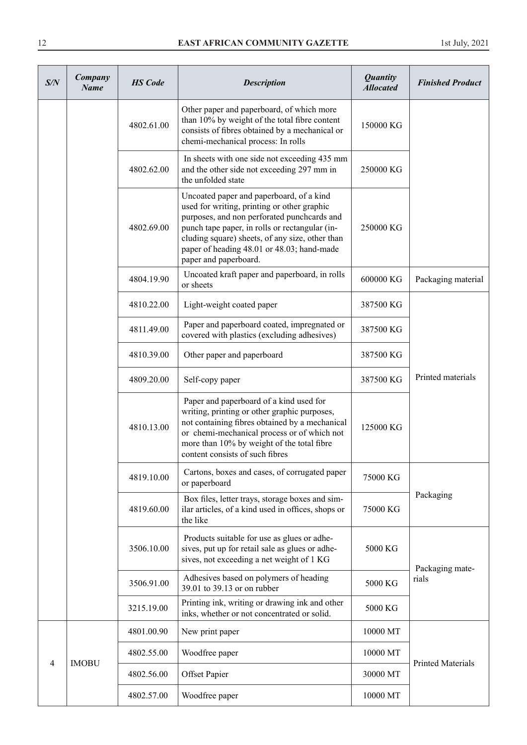| S/N | Company<br><b>Name</b> | <b>HS</b> Code | <b>Description</b>                                                                                                                                                                                                                                                                                                 | <b>Quantity</b><br><b>Allocated</b> | <b>Finished Product</b>  |
|-----|------------------------|----------------|--------------------------------------------------------------------------------------------------------------------------------------------------------------------------------------------------------------------------------------------------------------------------------------------------------------------|-------------------------------------|--------------------------|
|     |                        | 4802.61.00     | Other paper and paperboard, of which more<br>than 10% by weight of the total fibre content<br>consists of fibres obtained by a mechanical or<br>chemi-mechanical process: In rolls                                                                                                                                 | 150000 KG                           |                          |
|     |                        | 4802.62.00     | In sheets with one side not exceeding 435 mm<br>and the other side not exceeding 297 mm in<br>the unfolded state                                                                                                                                                                                                   | 250000 KG                           |                          |
|     |                        | 4802.69.00     | Uncoated paper and paperboard, of a kind<br>used for writing, printing or other graphic<br>purposes, and non perforated punchcards and<br>punch tape paper, in rolls or rectangular (in-<br>cluding square) sheets, of any size, other than<br>paper of heading 48.01 or 48.03; hand-made<br>paper and paperboard. | 250000 KG                           |                          |
|     |                        | 4804.19.90     | Uncoated kraft paper and paperboard, in rolls<br>or sheets                                                                                                                                                                                                                                                         | 600000 KG                           | Packaging material       |
|     |                        | 4810.22.00     | Light-weight coated paper                                                                                                                                                                                                                                                                                          | 387500 KG                           |                          |
|     |                        | 4811.49.00     | Paper and paperboard coated, impregnated or<br>covered with plastics (excluding adhesives)                                                                                                                                                                                                                         | 387500 KG                           |                          |
|     |                        | 4810.39.00     | Other paper and paperboard                                                                                                                                                                                                                                                                                         | 387500 KG                           |                          |
|     |                        | 4809.20.00     | Self-copy paper                                                                                                                                                                                                                                                                                                    | 387500 KG                           | Printed materials        |
|     |                        | 4810.13.00     | Paper and paperboard of a kind used for<br>writing, printing or other graphic purposes,<br>not containing fibres obtained by a mechanical<br>or chemi-mechanical process or of which not<br>more than 10% by weight of the total fibre<br>content consists of such fibres                                          | 125000 KG                           |                          |
|     |                        | 4819.10.00     | Cartons, boxes and cases, of corrugated paper<br>or paperboard                                                                                                                                                                                                                                                     | 75000 KG                            |                          |
|     |                        | 4819.60.00     | Box files, letter trays, storage boxes and sim-<br>ilar articles, of a kind used in offices, shops or<br>the like                                                                                                                                                                                                  | 75000 KG                            | Packaging                |
|     |                        | 3506.10.00     | Products suitable for use as glues or adhe-<br>sives, put up for retail sale as glues or adhe-<br>sives, not exceeding a net weight of 1 KG                                                                                                                                                                        | 5000 KG                             | Packaging mate-          |
|     |                        | 3506.91.00     | Adhesives based on polymers of heading<br>39.01 to 39.13 or on rubber                                                                                                                                                                                                                                              | 5000 KG                             | rials                    |
|     |                        | 3215.19.00     | Printing ink, writing or drawing ink and other<br>inks, whether or not concentrated or solid.                                                                                                                                                                                                                      | 5000 KG                             |                          |
|     |                        | 4801.00.90     | New print paper                                                                                                                                                                                                                                                                                                    | 10000 MT                            |                          |
| 4   | <b>IMOBU</b>           | 4802.55.00     | Woodfree paper                                                                                                                                                                                                                                                                                                     | 10000 MT                            | <b>Printed Materials</b> |
|     |                        | 4802.56.00     | <b>Offset Papier</b>                                                                                                                                                                                                                                                                                               | 30000 MT                            |                          |
|     |                        | 4802.57.00     | Woodfree paper                                                                                                                                                                                                                                                                                                     | 10000 MT                            |                          |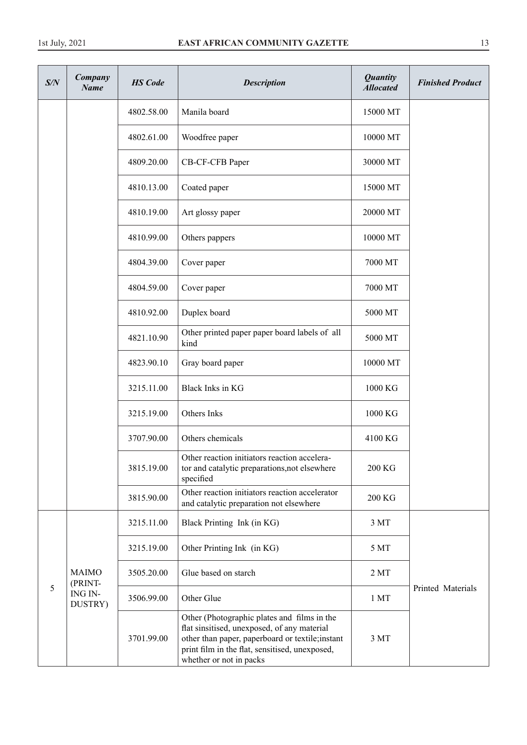| S/N | Company<br><b>Name</b>        | <b>HS</b> Code | <b>Description</b>                                                                                                                                                                                                          | <b>Quantity</b><br><b>Allocated</b> | <b>Finished Product</b> |
|-----|-------------------------------|----------------|-----------------------------------------------------------------------------------------------------------------------------------------------------------------------------------------------------------------------------|-------------------------------------|-------------------------|
|     |                               | 4802.58.00     | Manila board                                                                                                                                                                                                                | 15000 MT                            |                         |
|     |                               | 4802.61.00     | Woodfree paper                                                                                                                                                                                                              | 10000 MT                            |                         |
|     |                               | 4809.20.00     | CB-CF-CFB Paper                                                                                                                                                                                                             | 30000 MT                            |                         |
|     |                               | 4810.13.00     | Coated paper                                                                                                                                                                                                                | 15000 MT                            |                         |
|     |                               | 4810.19.00     | Art glossy paper                                                                                                                                                                                                            | 20000 MT                            |                         |
|     |                               | 4810.99.00     | Others pappers                                                                                                                                                                                                              | 10000 MT                            |                         |
|     |                               | 4804.39.00     | Cover paper                                                                                                                                                                                                                 | 7000 MT                             |                         |
|     |                               | 4804.59.00     | Cover paper                                                                                                                                                                                                                 | 7000 MT                             |                         |
|     |                               | 4810.92.00     | Duplex board                                                                                                                                                                                                                | 5000 MT                             |                         |
|     |                               | 4821.10.90     | Other printed paper paper board labels of all<br>kind                                                                                                                                                                       | 5000 MT                             |                         |
|     |                               | 4823.90.10     | Gray board paper                                                                                                                                                                                                            | 10000 MT                            |                         |
|     |                               | 3215.11.00     | Black Inks in KG                                                                                                                                                                                                            | 1000 KG                             |                         |
|     |                               | 3215.19.00     | Others Inks                                                                                                                                                                                                                 | 1000 KG                             |                         |
|     |                               | 3707.90.00     | Others chemicals                                                                                                                                                                                                            | 4100 KG                             |                         |
|     |                               | 3815.19.00     | Other reaction initiators reaction accelera-<br>tor and catalytic preparations, not elsewhere<br>specified                                                                                                                  | 200 KG                              |                         |
|     |                               | 3815.90.00     | Other reaction initiators reaction accelerator<br>and catalytic preparation not elsewhere                                                                                                                                   | 200 KG                              |                         |
|     |                               | 3215.11.00     | Black Printing Ink (in KG)                                                                                                                                                                                                  | 3 MT                                |                         |
|     |                               | 3215.19.00     | Other Printing Ink (in KG)                                                                                                                                                                                                  | 5 MT                                |                         |
|     | <b>MAIMO</b>                  | 3505.20.00     | Glue based on starch                                                                                                                                                                                                        | 2MT                                 |                         |
| 5   | (PRINT-<br>ING IN-<br>DUSTRY) | 3506.99.00     | Other Glue                                                                                                                                                                                                                  | 1 <sub>MT</sub>                     | Printed Materials       |
|     |                               | 3701.99.00     | Other (Photographic plates and films in the<br>flat sinsitised, unexposed, of any material<br>other than paper, paperboard or textile; instant<br>print film in the flat, sensitised, unexposed,<br>whether or not in packs | 3 MT                                |                         |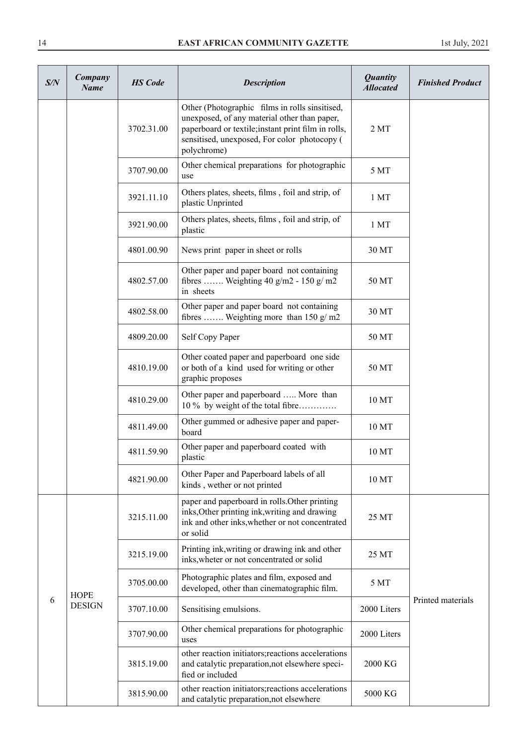| S/N | Company<br>Name | <b>HS</b> Code | <b>Description</b>                                                                                                                                                                                                   | <b>Quantity</b><br><b>Allocated</b> | <b>Finished Product</b> |
|-----|-----------------|----------------|----------------------------------------------------------------------------------------------------------------------------------------------------------------------------------------------------------------------|-------------------------------------|-------------------------|
|     |                 | 3702.31.00     | Other (Photographic films in rolls sinsitised,<br>unexposed, of any material other than paper,<br>paperboard or textile; instant print film in rolls,<br>sensitised, unexposed, For color photocopy (<br>polychrome) | 2MT                                 |                         |
|     |                 | 3707.90.00     | Other chemical preparations for photographic<br>use                                                                                                                                                                  | 5 MT                                |                         |
|     |                 | 3921.11.10     | Others plates, sheets, films, foil and strip, of<br>plastic Unprinted                                                                                                                                                | 1 <sub>MT</sub>                     |                         |
|     |                 | 3921.90.00     | Others plates, sheets, films, foil and strip, of<br>plastic                                                                                                                                                          | 1 <sub>MT</sub>                     |                         |
|     |                 | 4801.00.90     | News print paper in sheet or rolls                                                                                                                                                                                   | 30 MT                               |                         |
|     |                 | 4802.57.00     | Other paper and paper board not containing<br>fibres  Weighting 40 g/m2 - 150 g/m2<br>in sheets                                                                                                                      | 50 MT                               |                         |
|     |                 | 4802.58.00     | Other paper and paper board not containing<br>fibres  Weighting more than 150 $g/m2$                                                                                                                                 | 30 MT                               |                         |
|     |                 | 4809.20.00     | Self Copy Paper                                                                                                                                                                                                      | 50 MT                               |                         |
|     |                 | 4810.19.00     | Other coated paper and paperboard one side<br>or both of a kind used for writing or other<br>graphic proposes                                                                                                        | 50 MT                               |                         |
|     |                 | 4810.29.00     | Other paper and paperboard  More than<br>10 % by weight of the total fibre                                                                                                                                           | 10 MT                               |                         |
|     |                 | 4811.49.00     | Other gummed or adhesive paper and paper-<br>board                                                                                                                                                                   | 10 MT                               |                         |
|     |                 | 4811.59.90     | Other paper and paperboard coated with<br>plastic                                                                                                                                                                    | 10 MT                               |                         |
|     |                 | 4821.90.00     | Other Paper and Paperboard labels of all<br>kinds, wether or not printed                                                                                                                                             | 10 MT                               |                         |
|     |                 | 3215.11.00     | paper and paperboard in rolls. Other printing<br>inks, Other printing ink, writing and drawing<br>ink and other inks, whether or not concentrated<br>or solid                                                        | 25 MT                               |                         |
|     |                 | 3215.19.00     | Printing ink, writing or drawing ink and other<br>inks, wheter or not concentrated or solid                                                                                                                          | 25 MT                               |                         |
| 6   | <b>HOPE</b>     | 3705.00.00     | Photographic plates and film, exposed and<br>developed, other than cinematographic film.                                                                                                                             | 5 MT                                |                         |
|     | <b>DESIGN</b>   | 3707.10.00     | Sensitising emulsions.                                                                                                                                                                                               | 2000 Liters                         | Printed materials       |
|     |                 | 3707.90.00     | Other chemical preparations for photographic<br>uses                                                                                                                                                                 | 2000 Liters                         |                         |
|     |                 | 3815.19.00     | other reaction initiators; reactions accelerations<br>and catalytic preparation, not elsewhere speci-<br>fied or included                                                                                            | 2000 KG                             |                         |
|     |                 | 3815.90.00     | other reaction initiators; reactions accelerations<br>and catalytic preparation, not elsewhere                                                                                                                       | 5000 KG                             |                         |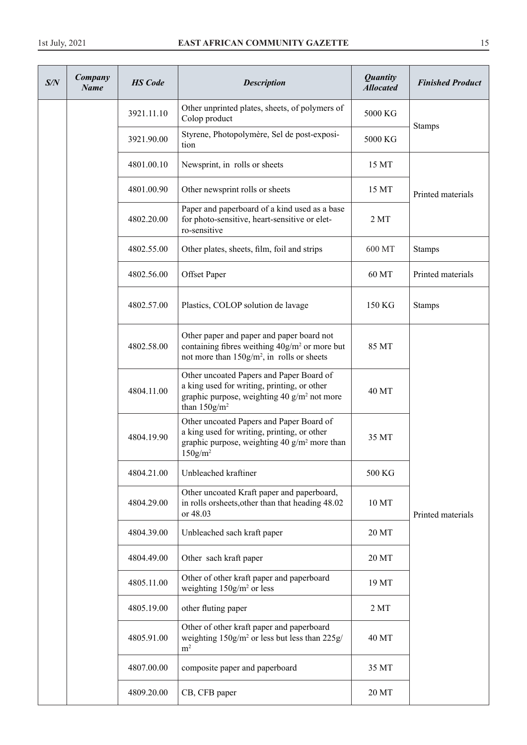| S/N | Company<br><b>Name</b> | <b>HS</b> Code | <b>Description</b>                                                                                                                                                       | <b>Quantity</b><br><b>Allocated</b> | <b>Finished Product</b> |
|-----|------------------------|----------------|--------------------------------------------------------------------------------------------------------------------------------------------------------------------------|-------------------------------------|-------------------------|
|     |                        | 3921.11.10     | Other unprinted plates, sheets, of polymers of<br>Colop product                                                                                                          | 5000 KG                             |                         |
|     |                        | 3921.90.00     | Styrene, Photopolymère, Sel de post-exposi-<br>tion                                                                                                                      | 5000 KG                             | <b>Stamps</b>           |
|     |                        | 4801.00.10     | Newsprint, in rolls or sheets                                                                                                                                            | 15 MT                               |                         |
|     |                        | 4801.00.90     | Other newsprint rolls or sheets                                                                                                                                          | 15 MT                               | Printed materials       |
|     |                        | 4802.20.00     | Paper and paperboard of a kind used as a base<br>for photo-sensitive, heart-sensitive or elet-<br>ro-sensitive                                                           | 2MT                                 |                         |
|     |                        | 4802.55.00     | Other plates, sheets, film, foil and strips                                                                                                                              | 600 MT                              | <b>Stamps</b>           |
|     |                        | 4802.56.00     | <b>Offset Paper</b>                                                                                                                                                      | 60 MT                               | Printed materials       |
|     |                        | 4802.57.00     | Plastics, COLOP solution de lavage                                                                                                                                       | 150 KG                              | <b>Stamps</b>           |
|     |                        | 4802.58.00     | Other paper and paper and paper board not<br>containing fibres weithing 40g/m <sup>2</sup> or more but<br>not more than $150g/m^2$ , in rolls or sheets                  | 85 MT                               |                         |
|     |                        | 4804.11.00     | Other uncoated Papers and Paper Board of<br>a king used for writing, printing, or other<br>graphic purpose, weighting 40 $g/m^2$ not more<br>than $150$ g/m <sup>2</sup> | 40 MT                               |                         |
|     |                        | 4804.19.90     | Other uncoated Papers and Paper Board of<br>a king used for writing, printing, or other<br>graphic purpose, weighting 40 $g/m^2$ more than<br>$150$ g/m <sup>2</sup>     | 35 MT                               |                         |
|     |                        | 4804.21.00     | Unbleached kraftiner                                                                                                                                                     | 500 KG                              |                         |
|     |                        | 4804.29.00     | Other uncoated Kraft paper and paperboard,<br>in rolls or<br>sheets, other than that heading 48.02<br>or 48.03                                                           | 10 MT                               | Printed materials       |
|     |                        | 4804.39.00     | Unbleached sach kraft paper                                                                                                                                              | 20 MT                               |                         |
|     |                        | 4804.49.00     | Other sach kraft paper                                                                                                                                                   | 20 MT                               |                         |
|     |                        | 4805.11.00     | Other of other kraft paper and paperboard<br>weighting $150g/m^2$ or less                                                                                                | 19 MT                               |                         |
|     |                        | 4805.19.00     | other fluting paper                                                                                                                                                      | 2MT                                 |                         |
|     |                        | 4805.91.00     | Other of other kraft paper and paperboard<br>weighting 150g/m <sup>2</sup> or less but less than 225g/<br>m <sup>2</sup>                                                 | 40 MT                               |                         |
|     |                        | 4807.00.00     | composite paper and paperboard                                                                                                                                           | 35 MT                               |                         |
|     |                        | 4809.20.00     | CB, CFB paper                                                                                                                                                            | 20 MT                               |                         |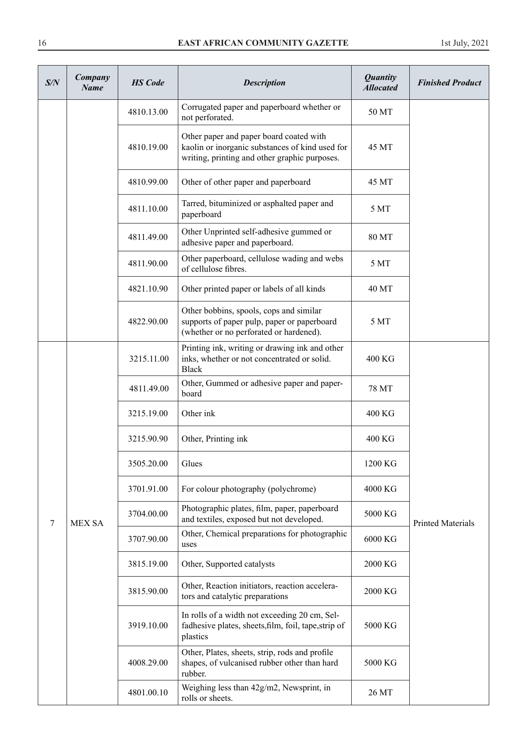| S/N | Company<br><b>Name</b> | <b>HS</b> Code | <b>Description</b>                                                                                                                          | <b>Quantity</b><br><b>Allocated</b> | <b>Finished Product</b>  |
|-----|------------------------|----------------|---------------------------------------------------------------------------------------------------------------------------------------------|-------------------------------------|--------------------------|
|     |                        | 4810.13.00     | Corrugated paper and paperboard whether or<br>not perforated.                                                                               | 50 MT                               |                          |
|     |                        | 4810.19.00     | Other paper and paper board coated with<br>kaolin or inorganic substances of kind used for<br>writing, printing and other graphic purposes. | 45 MT                               |                          |
|     |                        | 4810.99.00     | Other of other paper and paperboard                                                                                                         | 45 MT                               |                          |
|     |                        | 4811.10.00     | Tarred, bituminized or asphalted paper and<br>paperboard                                                                                    | 5 MT                                |                          |
|     |                        | 4811.49.00     | Other Unprinted self-adhesive gummed or<br>adhesive paper and paperboard.                                                                   | 80 MT                               |                          |
|     |                        | 4811.90.00     | Other paperboard, cellulose wading and webs<br>of cellulose fibres.                                                                         | 5 MT                                |                          |
|     |                        | 4821.10.90     | Other printed paper or labels of all kinds                                                                                                  | 40 MT                               |                          |
|     |                        | 4822.90.00     | Other bobbins, spools, cops and similar<br>supports of paper pulp, paper or paperboard<br>(whether or no perforated or hardened).           | 5 MT                                |                          |
|     |                        | 3215.11.00     | Printing ink, writing or drawing ink and other<br>inks, whether or not concentrated or solid.<br><b>Black</b>                               | 400 KG                              |                          |
|     |                        | 4811.49.00     | Other, Gummed or adhesive paper and paper-<br>board                                                                                         | 78 MT                               |                          |
|     |                        | 3215.19.00     | Other ink                                                                                                                                   | 400 KG                              |                          |
|     |                        | 3215.90.90     | Other, Printing ink                                                                                                                         | 400 KG                              |                          |
|     |                        | 3505.20.00     | Glues                                                                                                                                       | 1200 KG                             |                          |
|     |                        | 3701.91.00     | For colour photography (polychrome)                                                                                                         | 4000 KG                             |                          |
| 7   | <b>MEX SA</b>          | 3704.00.00     | Photographic plates, film, paper, paperboard<br>and textiles, exposed but not developed.                                                    | 5000 KG                             | <b>Printed Materials</b> |
|     |                        | 3707.90.00     | Other, Chemical preparations for photographic<br>uses                                                                                       | 6000 KG                             |                          |
|     |                        | 3815.19.00     | Other, Supported catalysts                                                                                                                  | 2000 KG                             |                          |
|     |                        | 3815.90.00     | Other, Reaction initiators, reaction accelera-<br>tors and catalytic preparations                                                           | 2000 KG                             |                          |
|     |                        | 3919.10.00     | In rolls of a width not exceeding 20 cm, Sel-<br>fadhesive plates, sheets, film, foil, tape, strip of<br>plastics                           | 5000 KG                             |                          |
|     |                        | 4008.29.00     | Other, Plates, sheets, strip, rods and profile<br>shapes, of vulcanised rubber other than hard<br>rubber.                                   | 5000 KG                             |                          |
|     |                        | 4801.00.10     | Weighing less than 42g/m2, Newsprint, in<br>rolls or sheets.                                                                                | 26 MT                               |                          |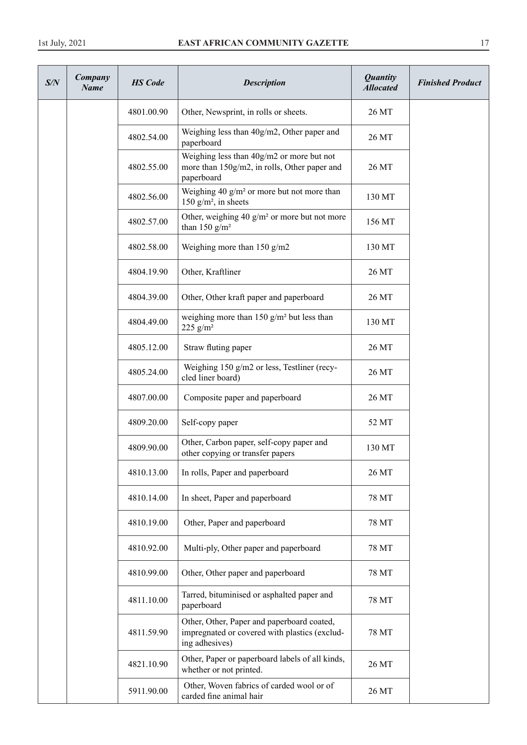| S/N | Company<br><b>Name</b> | <b>HS</b> Code | <b>Description</b>                                                                                            | <b>Quantity</b><br><b>Allocated</b> | <b>Finished Product</b> |
|-----|------------------------|----------------|---------------------------------------------------------------------------------------------------------------|-------------------------------------|-------------------------|
|     |                        | 4801.00.90     | Other, Newsprint, in rolls or sheets.                                                                         | 26 MT                               |                         |
|     |                        | 4802.54.00     | Weighing less than 40g/m2, Other paper and<br>paperboard                                                      | 26 MT                               |                         |
|     |                        | 4802.55.00     | Weighing less than 40g/m2 or more but not<br>more than 150g/m2, in rolls, Other paper and<br>paperboard       | 26 MT                               |                         |
|     |                        | 4802.56.00     | Weighing 40 $g/m^2$ or more but not more than<br>150 $g/m^2$ , in sheets                                      | 130 MT                              |                         |
|     |                        | 4802.57.00     | Other, weighing 40 $g/m^2$ or more but not more<br>than 150 $g/m^2$                                           | 156 MT                              |                         |
|     |                        | 4802.58.00     | Weighing more than $150$ g/m2                                                                                 | 130 MT                              |                         |
|     |                        | 4804.19.90     | Other, Kraftliner                                                                                             | 26 MT                               |                         |
|     |                        | 4804.39.00     | Other, Other kraft paper and paperboard                                                                       | 26 MT                               |                         |
|     |                        | 4804.49.00     | weighing more than 150 $g/m^2$ but less than<br>225 $g/m^2$                                                   | 130 MT                              |                         |
|     |                        | 4805.12.00     | Straw fluting paper                                                                                           | 26 MT                               |                         |
|     |                        | 4805.24.00     | Weighing 150 g/m2 or less, Testliner (recy-<br>cled liner board)                                              | 26 MT                               |                         |
|     |                        | 4807.00.00     | Composite paper and paperboard                                                                                | 26 MT                               |                         |
|     |                        | 4809.20.00     | Self-copy paper                                                                                               | 52 MT                               |                         |
|     |                        | 4809.90.00     | Other, Carbon paper, self-copy paper and<br>other copying or transfer papers                                  | 130 MT                              |                         |
|     |                        | 4810.13.00     | In rolls, Paper and paperboard                                                                                | 26 MT                               |                         |
|     |                        | 4810.14.00     | In sheet, Paper and paperboard                                                                                | 78 MT                               |                         |
|     |                        | 4810.19.00     | Other, Paper and paperboard                                                                                   | 78 MT                               |                         |
|     |                        | 4810.92.00     | Multi-ply, Other paper and paperboard                                                                         | 78 MT                               |                         |
|     |                        | 4810.99.00     | Other, Other paper and paperboard                                                                             | 78 MT                               |                         |
|     |                        | 4811.10.00     | Tarred, bituminised or asphalted paper and<br>paperboard                                                      | 78 MT                               |                         |
|     |                        | 4811.59.90     | Other, Other, Paper and paperboard coated,<br>impregnated or covered with plastics (exclud-<br>ing adhesives) | 78 MT                               |                         |
|     |                        | 4821.10.90     | Other, Paper or paperboard labels of all kinds,<br>whether or not printed.                                    | 26 MT                               |                         |
|     |                        | 5911.90.00     | Other, Woven fabrics of carded wool or of<br>carded fine animal hair                                          | 26 MT                               |                         |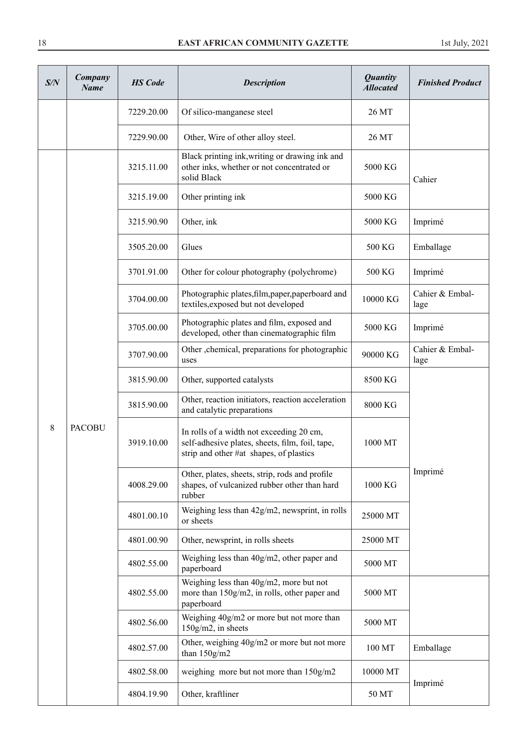| S/N | Company<br><b>Name</b> | <b>HS</b> Code | <b>Description</b>                                                                                                                     | <b>Quantity</b><br><b>Allocated</b> | <b>Finished Product</b> |
|-----|------------------------|----------------|----------------------------------------------------------------------------------------------------------------------------------------|-------------------------------------|-------------------------|
|     |                        | 7229.20.00     | Of silico-manganese steel                                                                                                              | 26 MT                               |                         |
|     |                        | 7229.90.00     | Other, Wire of other alloy steel.                                                                                                      | 26 MT                               |                         |
|     |                        | 3215.11.00     | Black printing ink, writing or drawing ink and<br>other inks, whether or not concentrated or<br>solid Black                            | 5000 KG                             | Cahier                  |
|     |                        | 3215.19.00     | Other printing ink                                                                                                                     | 5000 KG                             |                         |
|     |                        | 3215.90.90     | Other, ink                                                                                                                             | 5000 KG                             | Imprimé                 |
|     |                        | 3505.20.00     | Glues                                                                                                                                  | 500 KG                              | Emballage               |
|     |                        | 3701.91.00     | Other for colour photography (polychrome)                                                                                              | 500 KG                              | Imprimé                 |
|     |                        | 3704.00.00     | Photographic plates, film, paper, paperboard and<br>textiles, exposed but not developed                                                | 10000 KG                            | Cahier & Embal-<br>lage |
|     | <b>PACOBU</b>          | 3705.00.00     | Photographic plates and film, exposed and<br>developed, other than cinematographic film                                                | 5000 KG                             | Imprimé                 |
|     |                        | 3707.90.00     | Other , chemical, preparations for photographic<br>uses                                                                                | 90000 KG                            | Cahier & Embal-<br>lage |
|     |                        | 3815.90.00     | Other, supported catalysts                                                                                                             | 8500 KG                             |                         |
|     |                        | 3815.90.00     | Other, reaction initiators, reaction acceleration<br>and catalytic preparations                                                        | 8000 KG                             |                         |
| 8   |                        | 3919.10.00     | In rolls of a width not exceeding 20 cm,<br>self-adhesive plates, sheets, film, foil, tape,<br>strip and other #at shapes, of plastics | 1000 MT                             |                         |
|     |                        | 4008.29.00     | Other, plates, sheets, strip, rods and profile<br>shapes, of vulcanized rubber other than hard<br>rubber                               | 1000 KG                             | Imprimé                 |
|     |                        | 4801.00.10     | Weighing less than 42g/m2, newsprint, in rolls<br>or sheets                                                                            | 25000 MT                            |                         |
|     |                        | 4801.00.90     | Other, newsprint, in rolls sheets                                                                                                      | 25000 MT                            |                         |
|     |                        | 4802.55.00     | Weighing less than 40g/m2, other paper and<br>paperboard                                                                               | 5000 MT                             |                         |
|     |                        | 4802.55.00     | Weighing less than 40g/m2, more but not<br>more than 150g/m2, in rolls, other paper and<br>paperboard                                  | 5000 MT                             |                         |
|     |                        | 4802.56.00     | Weighing 40g/m2 or more but not more than<br>150g/m2, in sheets                                                                        | 5000 MT                             |                         |
|     |                        | 4802.57.00     | Other, weighing 40g/m2 or more but not more<br>than $150g/m2$                                                                          | 100 MT                              | Emballage               |
|     |                        | 4802.58.00     | weighing more but not more than 150g/m2                                                                                                | 10000 MT                            | Imprimé                 |
|     |                        | 4804.19.90     | Other, kraftliner                                                                                                                      | 50 MT                               |                         |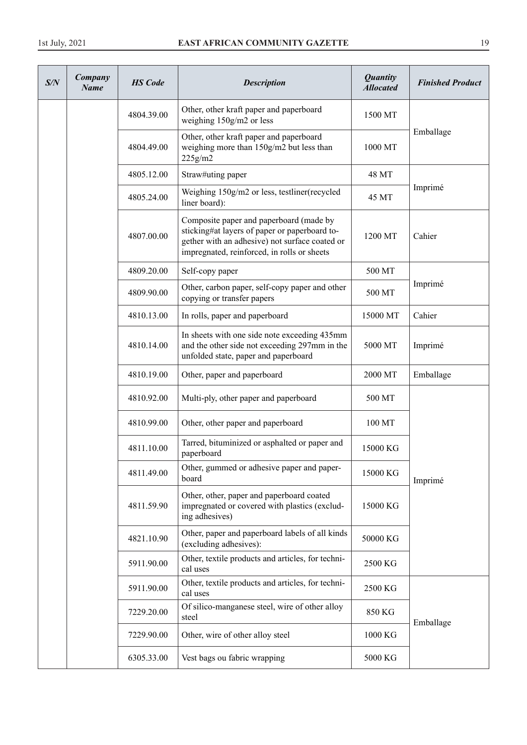| S/N | Company<br><b>Name</b> | <b>HS</b> Code | <b>Description</b>                                                                                                                                                                        | <b>Quantity</b><br><b>Allocated</b> | <b>Finished Product</b> |
|-----|------------------------|----------------|-------------------------------------------------------------------------------------------------------------------------------------------------------------------------------------------|-------------------------------------|-------------------------|
|     |                        | 4804.39.00     | Other, other kraft paper and paperboard<br>weighing 150g/m2 or less                                                                                                                       | 1500 MT                             |                         |
|     |                        | 4804.49.00     | Other, other kraft paper and paperboard<br>weighing more than 150g/m2 but less than<br>225g/m2                                                                                            | 1000 MT                             | Emballage               |
|     |                        | 4805.12.00     | Straw#uting paper                                                                                                                                                                         | 48 MT                               |                         |
|     |                        | 4805.24.00     | Weighing 150g/m2 or less, testliner(recycled<br>liner board):                                                                                                                             | 45 MT                               | Imprimé                 |
|     |                        | 4807.00.00     | Composite paper and paperboard (made by<br>sticking#at layers of paper or paperboard to-<br>gether with an adhesive) not surface coated or<br>impregnated, reinforced, in rolls or sheets | 1200 MT                             | Cahier                  |
|     |                        | 4809.20.00     | Self-copy paper                                                                                                                                                                           | 500 MT                              |                         |
|     |                        | 4809.90.00     | Other, carbon paper, self-copy paper and other<br>copying or transfer papers                                                                                                              | 500 MT                              | Imprimé                 |
|     |                        | 4810.13.00     | In rolls, paper and paperboard                                                                                                                                                            | 15000 MT                            | Cahier                  |
|     |                        | 4810.14.00     | In sheets with one side note exceeding 435mm<br>and the other side not exceeding 297mm in the<br>unfolded state, paper and paperboard                                                     | 5000 MT                             | Imprimé                 |
|     |                        | 4810.19.00     | Other, paper and paperboard                                                                                                                                                               | 2000 MT                             | Emballage               |
|     |                        | 4810.92.00     | Multi-ply, other paper and paperboard                                                                                                                                                     | 500 MT                              |                         |
|     |                        | 4810.99.00     | Other, other paper and paperboard                                                                                                                                                         | 100 MT                              |                         |
|     |                        | 4811.10.00     | Tarred, bituminized or asphalted or paper and<br>paperboard                                                                                                                               | 15000 KG                            |                         |
|     |                        | 4811.49.00     | Other, gummed or adhesive paper and paper-<br>board                                                                                                                                       | 15000 KG                            | Imprimé                 |
|     |                        | 4811.59.90     | Other, other, paper and paperboard coated<br>impregnated or covered with plastics (exclud-<br>ing adhesives)                                                                              | 15000 KG                            |                         |
|     |                        | 4821.10.90     | Other, paper and paperboard labels of all kinds<br>(excluding adhesives):                                                                                                                 | 50000 KG                            |                         |
|     |                        | 5911.90.00     | Other, textile products and articles, for techni-<br>cal uses                                                                                                                             | 2500 KG                             |                         |
|     |                        | 5911.90.00     | Other, textile products and articles, for techni-<br>cal uses                                                                                                                             | 2500 KG                             |                         |
|     |                        | 7229.20.00     | Of silico-manganese steel, wire of other alloy<br>steel                                                                                                                                   | 850 KG                              | Emballage               |
|     |                        | 7229.90.00     | Other, wire of other alloy steel                                                                                                                                                          | 1000 KG                             |                         |
|     |                        | 6305.33.00     | Vest bags ou fabric wrapping                                                                                                                                                              | 5000 KG                             |                         |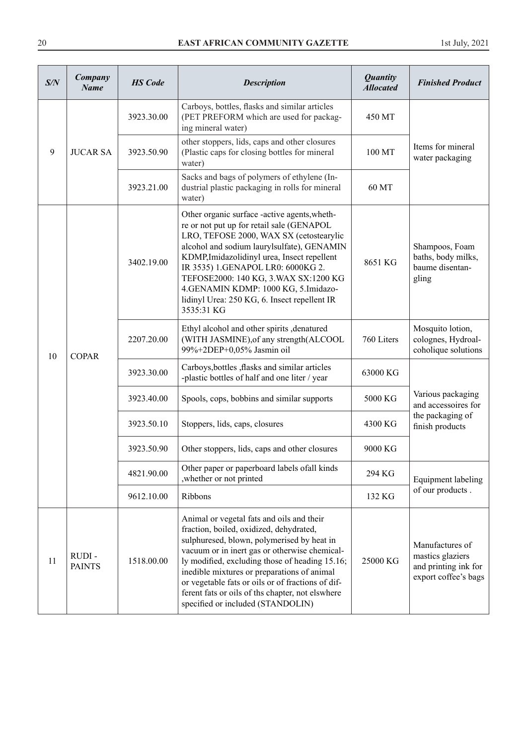| S/N | Company<br><b>Name</b> | <b>HS</b> Code | <b>Description</b>                                                                                                                                                                                                                                                                                                                                                                                                                 | <b>Quantity</b><br><b>Allocated</b> | <b>Finished Product</b>                                                             |
|-----|------------------------|----------------|------------------------------------------------------------------------------------------------------------------------------------------------------------------------------------------------------------------------------------------------------------------------------------------------------------------------------------------------------------------------------------------------------------------------------------|-------------------------------------|-------------------------------------------------------------------------------------|
|     |                        | 3923.30.00     | Carboys, bottles, flasks and similar articles<br>(PET PREFORM which are used for packag-<br>ing mineral water)                                                                                                                                                                                                                                                                                                                     | 450 MT                              |                                                                                     |
| 9   | <b>JUCAR SA</b>        | 3923.50.90     | other stoppers, lids, caps and other closures<br>(Plastic caps for closing bottles for mineral<br>water)                                                                                                                                                                                                                                                                                                                           | 100 MT                              | Items for mineral<br>water packaging                                                |
|     |                        | 3923.21.00     | Sacks and bags of polymers of ethylene (In-<br>dustrial plastic packaging in rolls for mineral<br>water)                                                                                                                                                                                                                                                                                                                           | 60 MT                               |                                                                                     |
| 10  |                        | 3402.19.00     | Other organic surface -active agents, wheth-<br>re or not put up for retail sale (GENAPOL<br>LRO, TEFOSE 2000, WAX SX (cetostearylic<br>alcohol and sodium laurylsulfate), GENAMIN<br>KDMP, Imidazolidinyl urea, Insect repellent<br>IR 3535) 1.GENAPOL LR0: 6000KG 2.<br>TEFOSE2000: 140 KG, 3. WAX SX:1200 KG<br>4.GENAMIN KDMP: 1000 KG, 5.Imidazo-<br>lidinyl Urea: 250 KG, 6. Insect repellent IR<br>3535:31 KG               | 8651 KG                             | Shampoos, Foam<br>baths, body milks,<br>baume disentan-<br>gling                    |
|     | <b>COPAR</b>           | 2207.20.00     | Ethyl alcohol and other spirits , denatured<br>(WITH JASMINE), of any strength (ALCOOL<br>99%+2DEP+0,05% Jasmin oil                                                                                                                                                                                                                                                                                                                | 760 Liters                          | Mosquito lotion,<br>colognes, Hydroal-<br>coholique solutions                       |
|     |                        | 3923.30.00     | Carboys, bottles , flasks and similar articles<br>-plastic bottles of half and one liter / year                                                                                                                                                                                                                                                                                                                                    | 63000 KG                            | Various packaging<br>and accessoires for                                            |
|     |                        | 3923.40.00     | Spools, cops, bobbins and similar supports                                                                                                                                                                                                                                                                                                                                                                                         | 5000 KG                             |                                                                                     |
|     |                        | 3923.50.10     | Stoppers, lids, caps, closures                                                                                                                                                                                                                                                                                                                                                                                                     | 4300 KG                             | the packaging of<br>finish products                                                 |
|     |                        | 3923.50.90     | Other stoppers, lids, caps and other closures                                                                                                                                                                                                                                                                                                                                                                                      | 9000 KG                             |                                                                                     |
|     |                        | 4821.90.00     | Other paper or paperboard labels of all kinds<br>, whether or not printed                                                                                                                                                                                                                                                                                                                                                          | 294 KG                              | Equipment labeling                                                                  |
|     |                        | 9612.10.00     | Ribbons                                                                                                                                                                                                                                                                                                                                                                                                                            | 132 KG                              | of our products.                                                                    |
| 11  | RUDI-<br><b>PAINTS</b> | 1518.00.00     | Animal or vegetal fats and oils and their<br>fraction, boiled, oxidized, dehydrated,<br>sulphuresed, blown, polymerised by heat in<br>vacuum or in inert gas or otherwise chemical-<br>ly modified, excluding those of heading 15.16;<br>inedible mixtures or preparations of animal<br>or vegetable fats or oils or of fractions of dif-<br>ferent fats or oils of ths chapter, not elswhere<br>specified or included (STANDOLIN) | 25000 KG                            | Manufactures of<br>mastics glaziers<br>and printing ink for<br>export coffee's bags |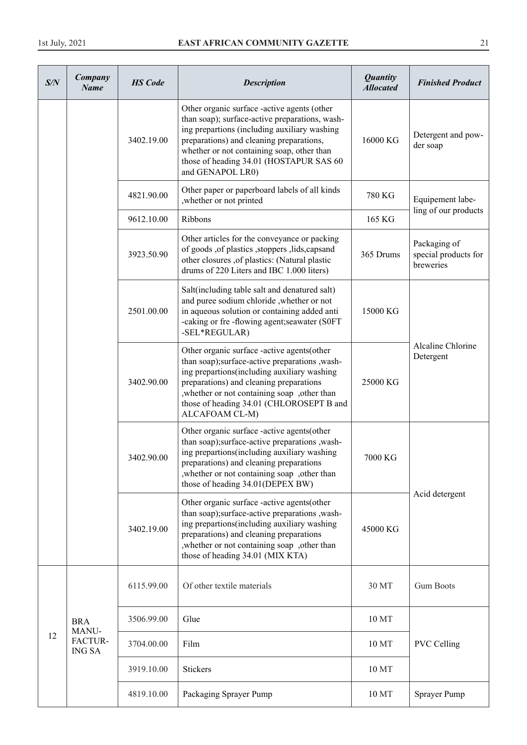| S/N | Company<br><b>Name</b>   | <b>HS</b> Code | <b>Description</b>                                                                                                                                                                                                                                                                                     | <b>Quantity</b><br><b>Allocated</b> | <b>Finished Product</b>                           |
|-----|--------------------------|----------------|--------------------------------------------------------------------------------------------------------------------------------------------------------------------------------------------------------------------------------------------------------------------------------------------------------|-------------------------------------|---------------------------------------------------|
|     |                          | 3402.19.00     | Other organic surface -active agents (other<br>than soap); surface-active preparations, wash-<br>ing prepartions (including auxiliary washing<br>preparations) and cleaning preparations,<br>whether or not containing soap, other than<br>those of heading 34.01 (HOSTAPUR SAS 60<br>and GENAPOL LR0) | 16000 KG                            | Detergent and pow-<br>der soap                    |
|     |                          | 4821.90.00     | Other paper or paperboard labels of all kinds<br>, whether or not printed                                                                                                                                                                                                                              | 780 KG                              | Equipement labe-                                  |
|     |                          | 9612.10.00     | Ribbons                                                                                                                                                                                                                                                                                                | 165 KG                              | ling of our products                              |
|     |                          | 3923.50.90     | Other articles for the conveyance or packing<br>of goods , of plastics , stoppers , lids, capsand<br>other closures ,of plastics: (Natural plastic<br>drums of 220 Liters and IBC 1.000 liters)                                                                                                        | 365 Drums                           | Packaging of<br>special products for<br>breweries |
|     |                          | 2501.00.00     | Salt(including table salt and denatured salt)<br>and puree sodium chloride , whether or not<br>in aqueous solution or containing added anti<br>-caking or fre-flowing agent; seawater (S0FT)<br>-SEL*REGULAR)                                                                                          | 15000 KG                            |                                                   |
|     |                          | 3402.90.00     | Other organic surface -active agents(other<br>than soap);surface-active preparations ,wash-<br>ing prepartions (including auxiliary washing<br>preparations) and cleaning preparations<br>, whether or not containing soap , other than<br>those of heading 34.01 (CHLOROSEPT B and<br>ALCAFOAM CL-M)  | 25000 KG                            | Alcaline Chlorine<br>Detergent                    |
|     |                          | 3402.90.00     | Other organic surface -active agents(other<br>than soap);surface-active preparations ,wash-<br>ing prepartions (including auxiliary washing<br>preparations) and cleaning preparations<br>, whether or not containing soap , other than<br>those of heading 34.01(DEPEX BW)                            | 7000 KG                             | Acid detergent                                    |
|     |                          | 3402.19.00     | Other organic surface -active agents(other<br>than soap);surface-active preparations ,wash-<br>ing prepartions (including auxiliary washing<br>preparations) and cleaning preparations<br>, whether or not containing soap , other than<br>those of heading 34.01 (MIX KTA)                            | 45000 KG                            |                                                   |
|     |                          | 6115.99.00     | Of other textile materials                                                                                                                                                                                                                                                                             | 30 MT                               | <b>Gum Boots</b>                                  |
|     | <b>BRA</b><br>MANU-      | 3506.99.00     | Glue                                                                                                                                                                                                                                                                                                   | 10 MT                               |                                                   |
| 12  | FACTUR-<br><b>ING SA</b> | 3704.00.00     | Film                                                                                                                                                                                                                                                                                                   | 10 MT                               | <b>PVC Celling</b>                                |
|     |                          | 3919.10.00     | <b>Stickers</b>                                                                                                                                                                                                                                                                                        | 10 MT                               |                                                   |
|     |                          | 4819.10.00     | Packaging Sprayer Pump                                                                                                                                                                                                                                                                                 | 10 MT                               | Sprayer Pump                                      |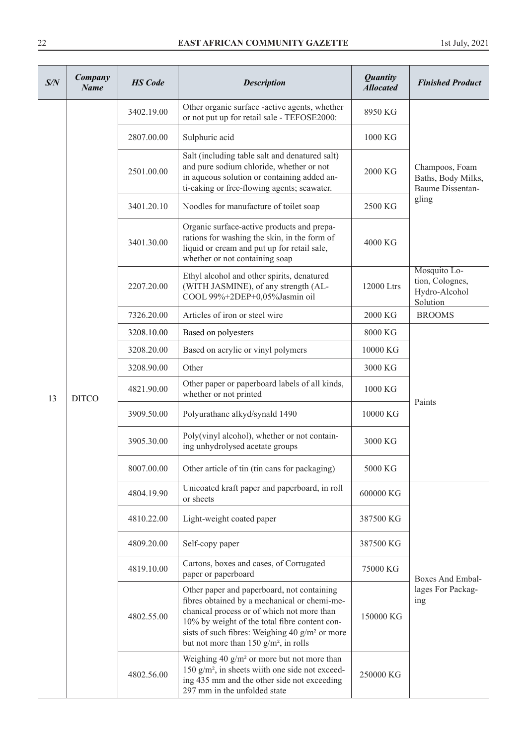| S/N | Company<br><b>Name</b> | <b>HS</b> Code          | <b>Description</b>                                                                                                                                                                                                                                                                                  | <b>Quantity</b><br><b>Allocated</b> | <b>Finished Product</b>                                         |
|-----|------------------------|-------------------------|-----------------------------------------------------------------------------------------------------------------------------------------------------------------------------------------------------------------------------------------------------------------------------------------------------|-------------------------------------|-----------------------------------------------------------------|
|     |                        | 3402.19.00              | Other organic surface -active agents, whether<br>or not put up for retail sale - TEFOSE2000:                                                                                                                                                                                                        | 8950 KG                             |                                                                 |
|     |                        | 2807.00.00              | Sulphuric acid                                                                                                                                                                                                                                                                                      | 1000 KG                             |                                                                 |
|     |                        | 2501.00.00              | Salt (including table salt and denatured salt)<br>and pure sodium chloride, whether or not<br>in aqueous solution or containing added an-<br>ti-caking or free-flowing agents; seawater.                                                                                                            | 2000 KG                             | Champoos, Foam<br>Baths, Body Milks,<br><b>Baume Dissentan-</b> |
|     |                        | 3401.20.10              | Noodles for manufacture of toilet soap                                                                                                                                                                                                                                                              | 2500 KG                             | gling                                                           |
|     |                        | 3401.30.00              | Organic surface-active products and prepa-<br>rations for washing the skin, in the form of<br>liquid or cream and put up for retail sale,<br>whether or not containing soap                                                                                                                         | 4000 KG                             |                                                                 |
|     |                        | 2207.20.00              | Ethyl alcohol and other spirits, denatured<br>(WITH JASMINE), of any strength (AL-<br>COOL 99%+2DEP+0,05%Jasmin oil                                                                                                                                                                                 | 12000 Ltrs                          | Mosquito Lo-<br>tion, Colognes,<br>Hydro-Alcohol<br>Solution    |
|     | <b>DITCO</b>           | 7326.20.00              | Articles of iron or steel wire                                                                                                                                                                                                                                                                      | 2000 KG                             | <b>BROOMS</b>                                                   |
|     |                        | 3208.10.00              | Based on polyesters                                                                                                                                                                                                                                                                                 | 8000 KG                             | Paints                                                          |
|     |                        | 3208.20.00              | Based on acrylic or vinyl polymers                                                                                                                                                                                                                                                                  | 10000 KG                            |                                                                 |
|     |                        | 3208.90.00              | Other                                                                                                                                                                                                                                                                                               | 3000 KG                             |                                                                 |
| 13  |                        | 4821.90.00              | Other paper or paperboard labels of all kinds,<br>whether or not printed                                                                                                                                                                                                                            | 1000 KG                             |                                                                 |
|     |                        | 3909.50.00              | Polyurathane alkyd/synald 1490                                                                                                                                                                                                                                                                      | 10000 KG                            |                                                                 |
|     |                        | 3905.30.00              | Poly(vinyl alcohol), whether or not contain-<br>ing unhydrolysed acetate groups                                                                                                                                                                                                                     | 3000 KG                             |                                                                 |
|     |                        | 8007.00.00              | Other article of tin (tin cans for packaging)                                                                                                                                                                                                                                                       | 5000 KG                             |                                                                 |
|     |                        | 4804.19.90<br>or sheets | Unicoated kraft paper and paperboard, in roll                                                                                                                                                                                                                                                       | 600000 KG                           |                                                                 |
|     |                        | 4810.22.00              | Light-weight coated paper                                                                                                                                                                                                                                                                           | 387500 KG                           |                                                                 |
|     |                        | 4809.20.00              | Self-copy paper                                                                                                                                                                                                                                                                                     | 387500 KG                           |                                                                 |
|     |                        | 4819.10.00              | Cartons, boxes and cases, of Corrugated<br>paper or paperboard                                                                                                                                                                                                                                      | 75000 KG                            | Boxes And Embal-                                                |
|     |                        | 4802.55.00              | Other paper and paperboard, not containing<br>fibres obtained by a mechanical or chemi-me-<br>chanical process or of which not more than<br>10% by weight of the total fibre content con-<br>sists of such fibres: Weighing 40 g/m <sup>2</sup> or more<br>but not more than 150 $g/m^2$ , in rolls | 150000 KG                           | lages For Packag-<br>ing                                        |
|     |                        | 4802.56.00              | Weighing 40 $g/m^2$ or more but not more than<br>150 $g/m^2$ , in sheets wiith one side not exceed-<br>ing 435 mm and the other side not exceeding<br>297 mm in the unfolded state                                                                                                                  | 250000 KG                           |                                                                 |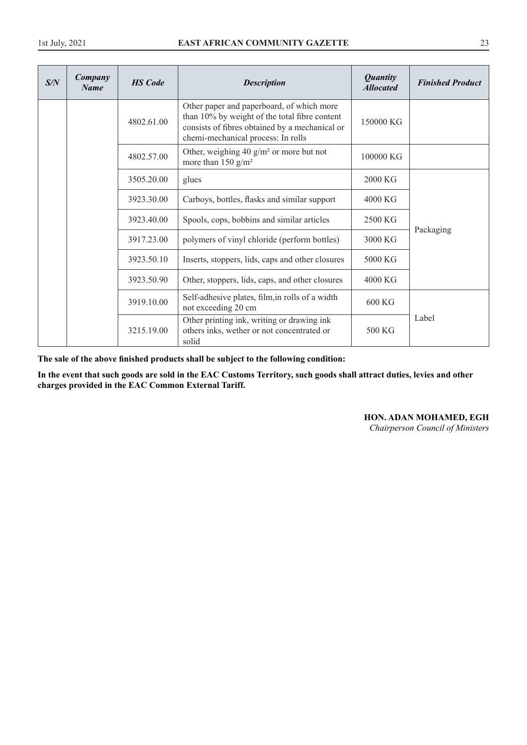| S/N | Company<br><b>Name</b> | <b>HS</b> Code | <b>Description</b>                                                                                                                                                                 | <b>Quantity</b><br><b>Allocated</b> | <b>Finished Product</b> |
|-----|------------------------|----------------|------------------------------------------------------------------------------------------------------------------------------------------------------------------------------------|-------------------------------------|-------------------------|
|     |                        | 4802.61.00     | Other paper and paperboard, of which more<br>than 10% by weight of the total fibre content<br>consists of fibres obtained by a mechanical or<br>chemi-mechanical process: In rolls | 150000 KG                           |                         |
|     |                        | 4802.57.00     | Other, weighing 40 $g/m^2$ or more but not<br>more than 150 $g/m^2$                                                                                                                | 100000 KG                           |                         |
|     |                        | 3505.20.00     | glues                                                                                                                                                                              | $2000 \text{ KG}$                   |                         |
|     |                        | 3923.30.00     | Carboys, bottles, flasks and similar support                                                                                                                                       | 4000 KG                             |                         |
|     |                        | 3923.40.00     | Spools, cops, bobbins and similar articles                                                                                                                                         | 2500 KG                             |                         |
|     |                        | 3917.23.00     | polymers of vinyl chloride (perform bottles)                                                                                                                                       | 3000 KG                             | Packaging               |
|     |                        | 3923.50.10     | Inserts, stoppers, lids, caps and other closures                                                                                                                                   | 5000 KG                             |                         |
|     |                        | 3923.50.90     | Other, stoppers, lids, caps, and other closures                                                                                                                                    | 4000 KG                             |                         |
|     |                        | 3919.10.00     | Self-adhesive plates, film, in rolls of a width<br>not exceeding 20 cm                                                                                                             | 600 KG                              |                         |
|     |                        | 3215.19.00     | Other printing ink, writing or drawing ink<br>others inks, wether or not concentrated or<br>solid                                                                                  | 500 KG                              | Label                   |

**The sale of the above finished products shall be subject to the following condition:**

**In the event that such goods are sold in the EAC Customs Territory, such goods shall attract duties, levies and other charges provided in the EAC Common External Tariff.** 

**HON. ADAN MOHAMED, EGH** 

*Chairperson Council of Ministers*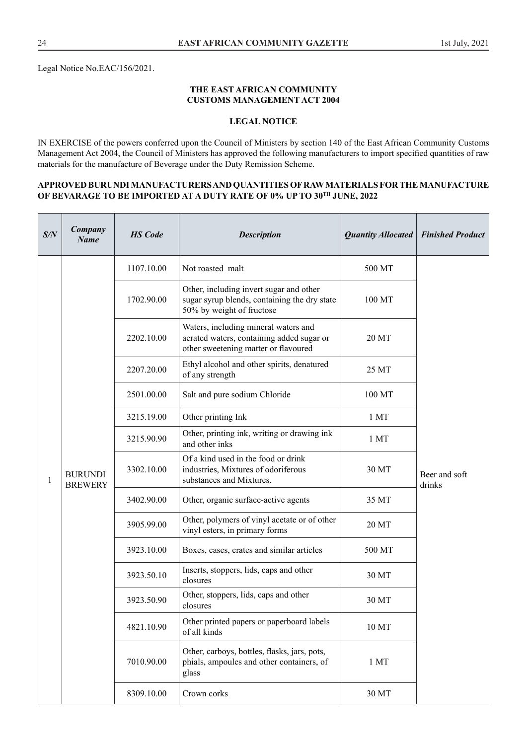Legal Notice No.EAC/156/2021.

#### **THE EAST AFRICAN COMMUNITY CUSTOMS MANAGEMENT ACT 2004**

## **LEGAL NOTICE**

IN EXERCISE of the powers conferred upon the Council of Ministers by section 140 of the East African Community Customs Management Act 2004, the Council of Ministers has approved the following manufacturers to import specified quantities of raw materials for the manufacture of Beverage under the Duty Remission Scheme.

#### **APPROVED BURUNDI MANUFACTURERS AND QUANTITIES OF RAW MATERIALS FOR THE MANUFACTURE OF BEVARAGE TO BE IMPORTED AT A DUTY RATE OF 0% UP TO 30TH JUNE, 2022**

| S/N | Company<br><b>Name</b>           | <b>HS</b> Code | <b>Description</b>                                                                                                        | <b>Quantity Allocated</b>                           | <b>Finished Product</b> |  |
|-----|----------------------------------|----------------|---------------------------------------------------------------------------------------------------------------------------|-----------------------------------------------------|-------------------------|--|
|     |                                  | 1107.10.00     | Not roasted malt                                                                                                          | 500 MT                                              |                         |  |
|     |                                  | 1702.90.00     | Other, including invert sugar and other<br>sugar syrup blends, containing the dry state<br>50% by weight of fructose      | 100 MT                                              |                         |  |
|     |                                  | 2202.10.00     | Waters, including mineral waters and<br>aerated waters, containing added sugar or<br>other sweetening matter or flavoured | 20 MT                                               |                         |  |
|     |                                  | 2207.20.00     | Ethyl alcohol and other spirits, denatured<br>of any strength                                                             | 25 MT                                               |                         |  |
|     |                                  | 2501.00.00     | Salt and pure sodium Chloride                                                                                             | 100 MT                                              |                         |  |
|     | <b>BURUNDI</b><br><b>BREWERY</b> | 3215.19.00     | Other printing Ink                                                                                                        | 1 MT                                                | Beer and soft<br>drinks |  |
|     |                                  | 3215.90.90     | Other, printing ink, writing or drawing ink<br>and other inks                                                             | 1 MT                                                |                         |  |
| 1   |                                  | 3302.10.00     | Of a kind used in the food or drink<br>industries, Mixtures of odoriferous<br>substances and Mixtures.                    | 30 MT                                               |                         |  |
|     |                                  | 3402.90.00     | Other, organic surface-active agents                                                                                      | 35 MT                                               |                         |  |
|     |                                  | 3905.99.00     | Other, polymers of vinyl acetate or of other<br>vinyl esters, in primary forms                                            | 20 MT                                               |                         |  |
|     |                                  | 3923.10.00     | Boxes, cases, crates and similar articles                                                                                 | 500 MT                                              |                         |  |
|     |                                  |                | 3923.50.10                                                                                                                | Inserts, stoppers, lids, caps and other<br>closures | 30 MT                   |  |
|     |                                  | 3923.50.90     | Other, stoppers, lids, caps and other<br>closures                                                                         | 30 MT                                               |                         |  |
|     |                                  | 4821.10.90     | Other printed papers or paperboard labels<br>of all kinds                                                                 | 10 MT                                               |                         |  |
|     |                                  | 7010.90.00     | Other, carboys, bottles, flasks, jars, pots,<br>phials, ampoules and other containers, of<br>glass                        | 1 <sub>MT</sub>                                     |                         |  |
|     |                                  | 8309.10.00     | Crown corks                                                                                                               | 30 MT                                               |                         |  |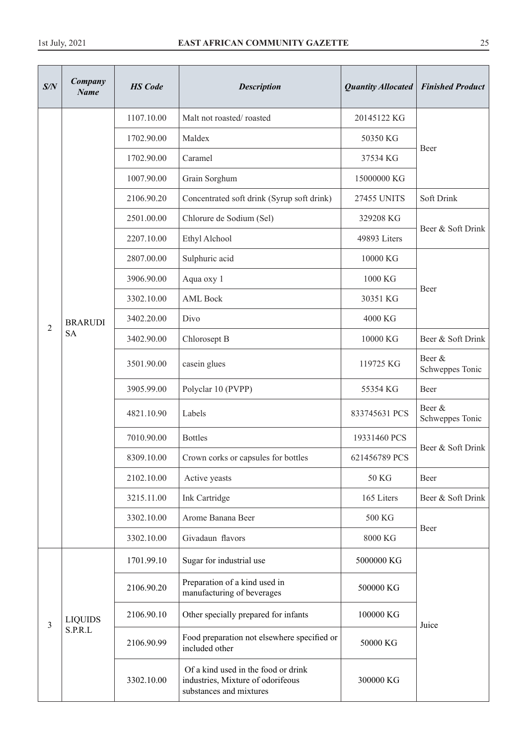| S/N            | Company<br><b>Name</b>      | <b>HS</b> Code | <b>Description</b>                                                                                  | <b>Quantity Allocated</b> | <b>Finished Product</b>   |
|----------------|-----------------------------|----------------|-----------------------------------------------------------------------------------------------------|---------------------------|---------------------------|
|                |                             | 1107.10.00     | Malt not roasted/roasted                                                                            | 20145122 KG               |                           |
|                |                             | 1702.90.00     | Maldex                                                                                              | 50350 KG                  |                           |
|                |                             | 1702.90.00     | Caramel                                                                                             | 37534 KG                  | Beer                      |
|                |                             | 1007.90.00     | Grain Sorghum                                                                                       | 15000000 KG               |                           |
|                |                             | 2106.90.20     | Concentrated soft drink (Syrup soft drink)                                                          | <b>27455 UNITS</b>        | Soft Drink                |
|                |                             | 2501.00.00     | Chlorure de Sodium (Sel)                                                                            | 329208 KG                 | Beer & Soft Drink         |
|                |                             | 2207.10.00     | Ethyl Alchool                                                                                       | 49893 Liters              |                           |
|                |                             | 2807.00.00     | Sulphuric acid                                                                                      | 10000 KG                  |                           |
|                |                             | 3906.90.00     | Aqua oxy 1                                                                                          | 1000 KG                   |                           |
|                |                             | 3302.10.00     | <b>AML Bock</b>                                                                                     | 30351 KG                  | Beer                      |
| $\overline{2}$ | <b>BRARUDI</b><br><b>SA</b> | 3402.20.00     | Divo                                                                                                | 4000 KG                   |                           |
|                |                             | 3402.90.00     | Chlorosept B                                                                                        | 10000 KG                  | Beer & Soft Drink         |
|                |                             | 3501.90.00     | casein glues                                                                                        | 119725 KG                 | Beer &<br>Schweppes Tonic |
|                |                             | 3905.99.00     | Polyclar 10 (PVPP)                                                                                  | 55354 KG                  | Beer                      |
|                |                             | 4821.10.90     | Labels                                                                                              | 833745631 PCS             | Beer &<br>Schweppes Tonic |
|                |                             | 7010.90.00     | <b>Bottles</b>                                                                                      | 19331460 PCS              | Beer & Soft Drink         |
|                |                             | 8309.10.00     | Crown corks or capsules for bottles                                                                 | 621456789 PCS             |                           |
|                |                             | 2102.10.00     | Active yeasts                                                                                       | 50 KG                     | Beer                      |
|                |                             | 3215.11.00     | Ink Cartridge                                                                                       | 165 Liters                | Beer & Soft Drink         |
|                |                             | 3302.10.00     | Arome Banana Beer                                                                                   | 500 KG                    | Beer                      |
|                |                             | 3302.10.00     | Givadaun flavors                                                                                    | 8000 KG                   |                           |
|                |                             | 1701.99.10     | Sugar for industrial use                                                                            | 5000000 KG                |                           |
|                |                             | 2106.90.20     | Preparation of a kind used in<br>manufacturing of beverages                                         | 500000 KG                 |                           |
|                | <b>LIQUIDS</b>              | 2106.90.10     | Other specially prepared for infants                                                                | 100000 KG                 |                           |
| $\mathfrak{Z}$ | S.P.R.L                     | 2106.90.99     | Food preparation not elsewhere specified or<br>included other                                       | 50000 KG                  | Juice                     |
|                |                             | 3302.10.00     | Of a kind used in the food or drink<br>industries, Mixture of odorifeous<br>substances and mixtures | 300000 KG                 |                           |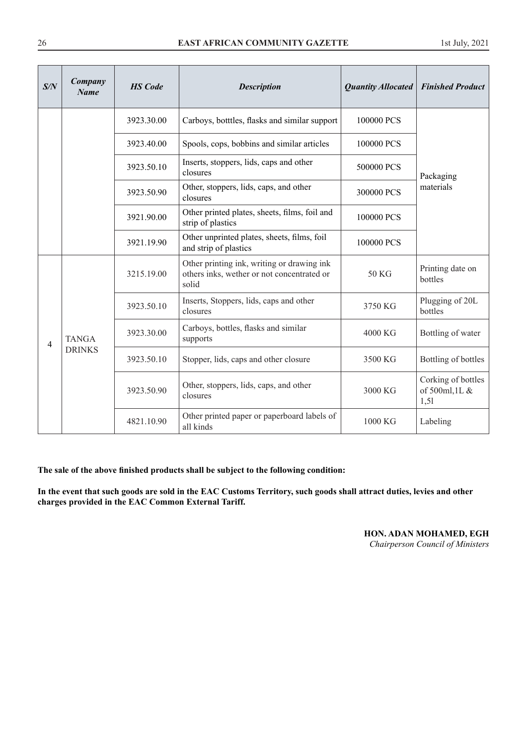#### **EAST AFRICAN COMMUNITY GAZETTE**

|  | 1st July, 2021 |
|--|----------------|
|  |                |

| S/N | Company<br><b>Name</b> | <b>HS</b> Code | <b>Description</b>                                                                                | <b>Quantity Allocated</b> | <b>Finished Product</b>                      |
|-----|------------------------|----------------|---------------------------------------------------------------------------------------------------|---------------------------|----------------------------------------------|
|     |                        | 3923.30.00     | Carboys, botttles, flasks and similar support                                                     | 100000 PCS                |                                              |
|     |                        | 3923.40.00     | Spools, cops, bobbins and similar articles                                                        | 100000 PCS                |                                              |
|     |                        | 3923.50.10     | Inserts, stoppers, lids, caps and other<br>closures                                               | 500000 PCS                | Packaging                                    |
|     |                        | 3923.50.90     | Other, stoppers, lids, caps, and other<br>closures                                                | 300000 PCS                | materials                                    |
|     |                        | 3921.90.00     | Other printed plates, sheets, films, foil and<br>strip of plastics                                | 100000 PCS                |                                              |
|     |                        | 3921.19.90     | Other unprinted plates, sheets, films, foil<br>and strip of plastics                              | 100000 PCS                |                                              |
|     |                        | 3215.19.00     | Other printing ink, writing or drawing ink<br>others inks, wether or not concentrated or<br>solid | 50 KG                     | Printing date on<br>bottles                  |
|     |                        | 3923.50.10     | Inserts, Stoppers, lids, caps and other<br>closures                                               | 3750 KG                   | Plugging of 20L<br>bottles                   |
| 4   | <b>TANGA</b>           | 3923.30.00     | Carboys, bottles, flasks and similar<br>supports                                                  | 4000 KG                   | Bottling of water                            |
|     | <b>DRINKS</b>          | 3923.50.10     | Stopper, lids, caps and other closure                                                             | 3500 KG                   | Bottling of bottles                          |
|     |                        | 3923.50.90     | Other, stoppers, lids, caps, and other<br>closures                                                | 3000 KG                   | Corking of bottles<br>of 500ml, 1L &<br>1,51 |
|     |                        | 4821.10.90     | Other printed paper or paperboard labels of<br>all kinds                                          | 1000 KG                   | Labeling                                     |

**The sale of the above finished products shall be subject to the following condition:**

**In the event that such goods are sold in the EAC Customs Territory, such goods shall attract duties, levies and other charges provided in the EAC Common External Tariff.** 

# **HON. ADAN MOHAMED, EGH**

*Chairperson Council of Ministers*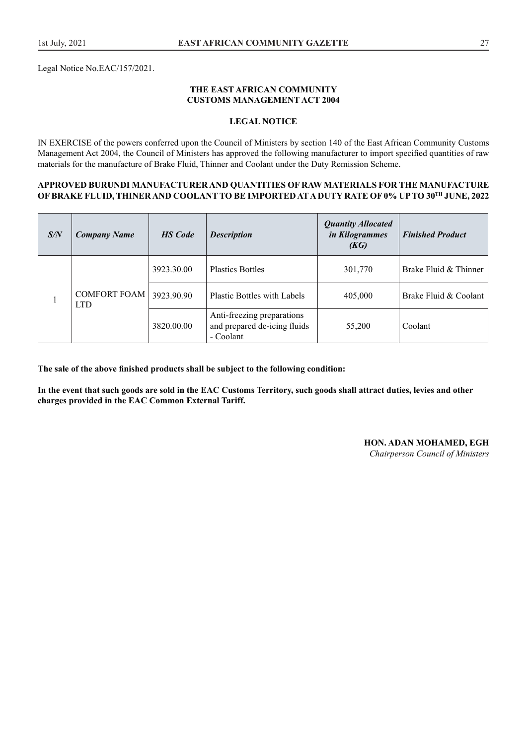Legal Notice No.EAC/157/2021.

#### **THE EAST AFRICAN COMMUNITY CUSTOMS MANAGEMENT ACT 2004**

#### **LEGAL NOTICE**

IN EXERCISE of the powers conferred upon the Council of Ministers by section 140 of the East African Community Customs Management Act 2004, the Council of Ministers has approved the following manufacturer to import specified quantities of raw materials for the manufacture of Brake Fluid, Thinner and Coolant under the Duty Remission Scheme.

#### **APPROVED BURUNDI MANUFACTURER AND QUANTITIES OF RAW MATERIALS FOR THE MANUFACTURE OF BRAKE FLUID, THINER AND COOLANT TO BE IMPORTED AT A DUTY RATE OF 0% UP TO 30TH JUNE, 2022**

| S/N | <b>Company Name</b>               | <b>HS</b> Code | <b>Description</b>                                                      | <b>Quantity Allocated</b><br>in Kilogrammes<br>(KG) | <b>Finished Product</b> |
|-----|-----------------------------------|----------------|-------------------------------------------------------------------------|-----------------------------------------------------|-------------------------|
|     | <b>COMFORT FOAM</b><br><b>LTD</b> | 3923.30.00     | <b>Plastics Bottles</b>                                                 | 301,770                                             | Brake Fluid & Thinner   |
|     |                                   | 3923.90.90     | <b>Plastic Bottles with Labels</b>                                      | 405,000                                             | Brake Fluid & Coolant   |
|     |                                   | 3820.00.00     | Anti-freezing preparations<br>and prepared de-icing fluids<br>- Coolant | 55,200                                              | Coolant                 |

**The sale of the above finished products shall be subject to the following condition:**

**In the event that such goods are sold in the EAC Customs Territory, such goods shall attract duties, levies and other charges provided in the EAC Common External Tariff.** 

#### **HON. ADAN MOHAMED, EGH**

*Chairperson Council of Ministers*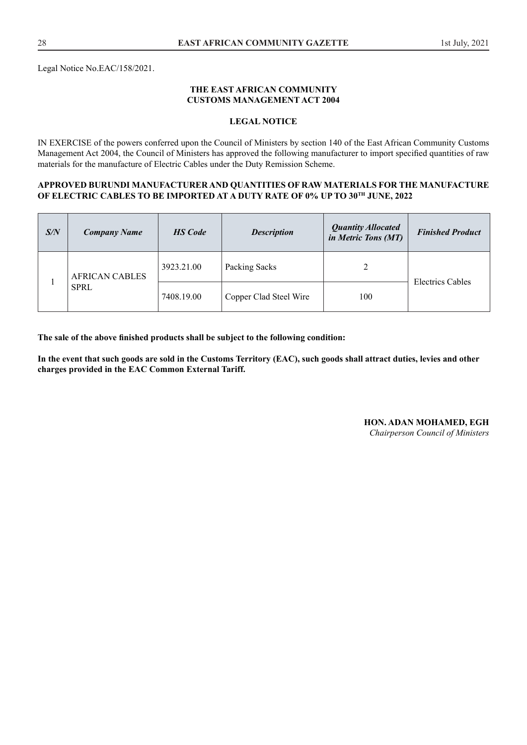Legal Notice No.EAC/158/2021.

#### **THE EAST AFRICAN COMMUNITY CUSTOMS MANAGEMENT ACT 2004**

#### **LEGAL NOTICE**

IN EXERCISE of the powers conferred upon the Council of Ministers by section 140 of the East African Community Customs Management Act 2004, the Council of Ministers has approved the following manufacturer to import specified quantities of raw materials for the manufacture of Electric Cables under the Duty Remission Scheme.

#### **APPROVED BURUNDI MANUFACTURER AND QUANTITIES OF RAW MATERIALS FOR THE MANUFACTURE OF ELECTRIC CABLES TO BE IMPORTED AT A DUTY RATE OF 0% UP TO 30TH JUNE, 2022**

| S/N | <b>Company Name</b>   | <b>HS</b> Code | <b>Description</b>     | <b>Quantity Allocated</b><br>in Metric Tons (MT) | <b>Finished Product</b> |
|-----|-----------------------|----------------|------------------------|--------------------------------------------------|-------------------------|
|     | <b>AFRICAN CABLES</b> | 3923.21.00     | Packing Sacks          | 2                                                |                         |
|     | <b>SPRL</b>           | 7408.19.00     | Copper Clad Steel Wire | 100                                              | Electrics Cables        |

**The sale of the above finished products shall be subject to the following condition:**

**In the event that such goods are sold in the Customs Territory (EAC), such goods shall attract duties, levies and other charges provided in the EAC Common External Tariff.**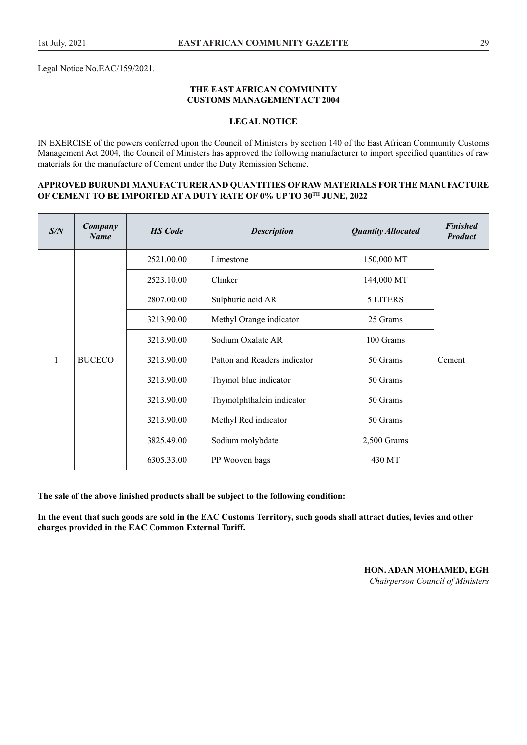Legal Notice No.EAC/159/2021.

#### **THE EAST AFRICAN COMMUNITY CUSTOMS MANAGEMENT ACT 2004**

#### **LEGAL NOTICE**

IN EXERCISE of the powers conferred upon the Council of Ministers by section 140 of the East African Community Customs Management Act 2004, the Council of Ministers has approved the following manufacturer to import specified quantities of raw materials for the manufacture of Cement under the Duty Remission Scheme.

#### **APPROVED BURUNDI MANUFACTURER AND QUANTITIES OF RAW MATERIALS FOR THE MANUFACTURE OF CEMENT TO BE IMPORTED AT A DUTY RATE OF 0% UP TO 30TH JUNE, 2022**

| S/N          | Company<br><b>Name</b> | <b>HS</b> Code | <b>Description</b>           | <b>Quantity Allocated</b> | <b>Finished</b><br><b>Product</b> |
|--------------|------------------------|----------------|------------------------------|---------------------------|-----------------------------------|
|              |                        | 2521.00.00     | Limestone                    | 150,000 MT                |                                   |
|              |                        | 2523.10.00     | Clinker                      | 144,000 MT                |                                   |
|              |                        | 2807.00.00     | Sulphuric acid AR            | 5 LITERS                  |                                   |
|              |                        | 3213.90.00     | Methyl Orange indicator      | 25 Grams                  |                                   |
|              |                        | 3213.90.00     | Sodium Oxalate AR            | 100 Grams                 |                                   |
| $\mathbf{1}$ | <b>BUCECO</b>          | 3213.90.00     | Patton and Readers indicator | 50 Grams                  | Cement                            |
|              |                        | 3213.90.00     | Thymol blue indicator        | 50 Grams                  |                                   |
|              |                        | 3213.90.00     | Thymolphthalein indicator    | 50 Grams                  |                                   |
|              |                        | 3213.90.00     | Methyl Red indicator         | 50 Grams                  |                                   |
|              |                        | 3825.49.00     | Sodium molybdate             | $2,500$ Grams             |                                   |
|              |                        | 6305.33.00     | PP Wooven bags               | 430 MT                    |                                   |

**The sale of the above finished products shall be subject to the following condition:**

**In the event that such goods are sold in the EAC Customs Territory, such goods shall attract duties, levies and other charges provided in the EAC Common External Tariff.**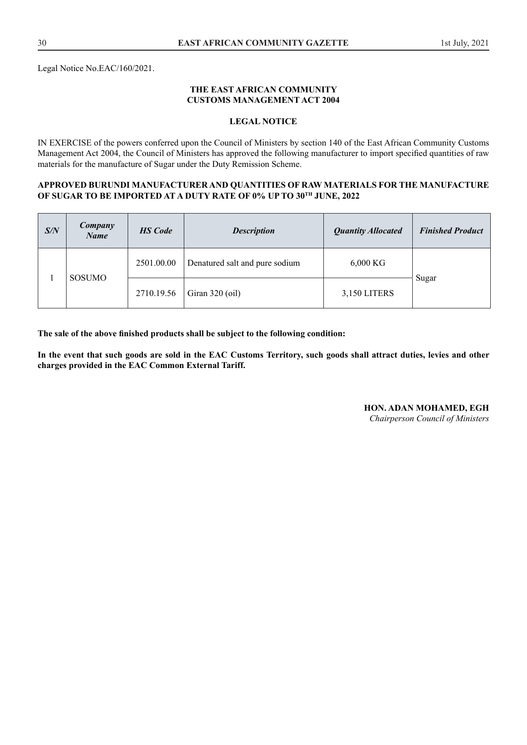Legal Notice No.EAC/160/2021.

#### **THE EAST AFRICAN COMMUNITY CUSTOMS MANAGEMENT ACT 2004**

#### **LEGAL NOTICE**

IN EXERCISE of the powers conferred upon the Council of Ministers by section 140 of the East African Community Customs Management Act 2004, the Council of Ministers has approved the following manufacturer to import specified quantities of raw materials for the manufacture of Sugar under the Duty Remission Scheme.

#### **APPROVED BURUNDI MANUFACTURER AND QUANTITIES OF RAW MATERIALS FOR THE MANUFACTURE OF SUGAR TO BE IMPORTED AT A DUTY RATE OF 0% UP TO 30TH JUNE, 2022**

| S/N | <b>Company</b><br><b>Name</b> | <b>HS</b> Code | <b>Description</b>             | <b>Quantity Allocated</b> | <b>Finished Product</b> |
|-----|-------------------------------|----------------|--------------------------------|---------------------------|-------------------------|
|     | SOSUMO                        | 2501.00.00     | Denatured salt and pure sodium | $6,000$ KG                |                         |
|     |                               | 2710.19.56     | Giran $320$ (oil)              | 3,150 LITERS              | Sugar                   |

**The sale of the above finished products shall be subject to the following condition:**

**In the event that such goods are sold in the EAC Customs Territory, such goods shall attract duties, levies and other charges provided in the EAC Common External Tariff.**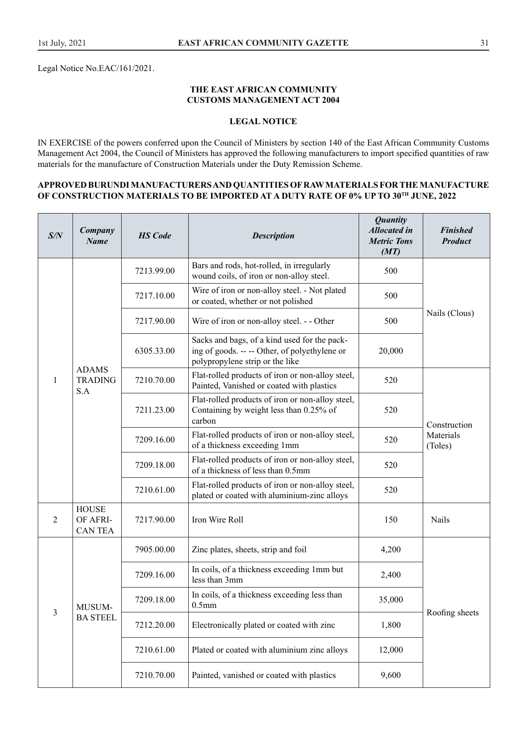Legal Notice No.EAC/161/2021.

#### **THE EAST AFRICAN COMMUNITY CUSTOMS MANAGEMENT ACT 2004**

# **LEGAL NOTICE**

IN EXERCISE of the powers conferred upon the Council of Ministers by section 140 of the East African Community Customs Management Act 2004, the Council of Ministers has approved the following manufacturers to import specified quantities of raw materials for the manufacture of Construction Materials under the Duty Remission Scheme.

#### **APPROVED BURUNDI MANUFACTURERS AND QUANTITIES OF RAW MATERIALS FOR THE MANUFACTURE OF CONSTRUCTION MATERIALS TO BE IMPORTED AT A DUTY RATE OF 0% UP TO 30TH JUNE, 2022**

| S/N            | Company<br><b>Name</b>                    | <b>HS</b> Code | <b>Description</b>                                                                                                               | <b>Quantity</b><br><b>Allocated in</b><br><b>Metric Tons</b><br>(MT)                  | <b>Finished</b><br><b>Product</b>                                                                     |     |                      |
|----------------|-------------------------------------------|----------------|----------------------------------------------------------------------------------------------------------------------------------|---------------------------------------------------------------------------------------|-------------------------------------------------------------------------------------------------------|-----|----------------------|
|                |                                           | 7213.99.00     | Bars and rods, hot-rolled, in irregularly<br>wound coils, of iron or non-alloy steel.                                            | 500                                                                                   |                                                                                                       |     |                      |
|                |                                           | 7217.10.00     | Wire of iron or non-alloy steel. - Not plated<br>or coated, whether or not polished                                              | 500                                                                                   |                                                                                                       |     |                      |
|                |                                           | 7217.90.00     | Wire of iron or non-alloy steel. - - Other                                                                                       | 500                                                                                   | Nails (Clous)                                                                                         |     |                      |
|                |                                           | 6305.33.00     | Sacks and bags, of a kind used for the pack-<br>ing of goods. -- -- Other, of polyethylene or<br>polypropylene strip or the like | 20,000                                                                                |                                                                                                       |     |                      |
| $\mathbf{1}$   | <b>ADAMS</b><br><b>TRADING</b><br>S.A     | 7210.70.00     | Flat-rolled products of iron or non-alloy steel,<br>Painted, Vanished or coated with plastics                                    | 520                                                                                   |                                                                                                       |     |                      |
|                |                                           |                |                                                                                                                                  | 7211.23.00                                                                            | Flat-rolled products of iron or non-alloy steel,<br>Containing by weight less than 0.25% of<br>carbon | 520 | Construction         |
|                |                                           |                |                                                                                                                                  | 7209.16.00                                                                            | Flat-rolled products of iron or non-alloy steel,<br>of a thickness exceeding 1mm                      | 520 | Materials<br>(Toles) |
|                |                                           |                | 7209.18.00                                                                                                                       | Flat-rolled products of iron or non-alloy steel,<br>of a thickness of less than 0.5mm | 520                                                                                                   |     |                      |
|                |                                           | 7210.61.00     | Flat-rolled products of iron or non-alloy steel,<br>plated or coated with aluminium-zinc alloys                                  | 520                                                                                   |                                                                                                       |     |                      |
| $\overline{2}$ | <b>HOUSE</b><br>OF AFRI-<br><b>CANTEA</b> | 7217.90.00     | Iron Wire Roll                                                                                                                   | 150                                                                                   | Nails                                                                                                 |     |                      |
|                |                                           | 7905.00.00     | Zinc plates, sheets, strip and foil                                                                                              | 4,200                                                                                 |                                                                                                       |     |                      |
|                |                                           | 7209.16.00     | In coils, of a thickness exceeding 1mm but<br>less than 3mm                                                                      | 2,400                                                                                 |                                                                                                       |     |                      |
| 3              | MUSUM-                                    | 7209.18.00     | In coils, of a thickness exceeding less than<br>0.5 <sub>mm</sub>                                                                | 35,000                                                                                |                                                                                                       |     |                      |
|                | <b>BA STEEL</b>                           | 7212.20.00     | Electronically plated or coated with zinc                                                                                        | 1,800                                                                                 | Roofing sheets                                                                                        |     |                      |
|                |                                           | 7210.61.00     | Plated or coated with aluminium zinc alloys                                                                                      | 12,000                                                                                |                                                                                                       |     |                      |
|                |                                           | 7210.70.00     | Painted, vanished or coated with plastics                                                                                        | 9,600                                                                                 |                                                                                                       |     |                      |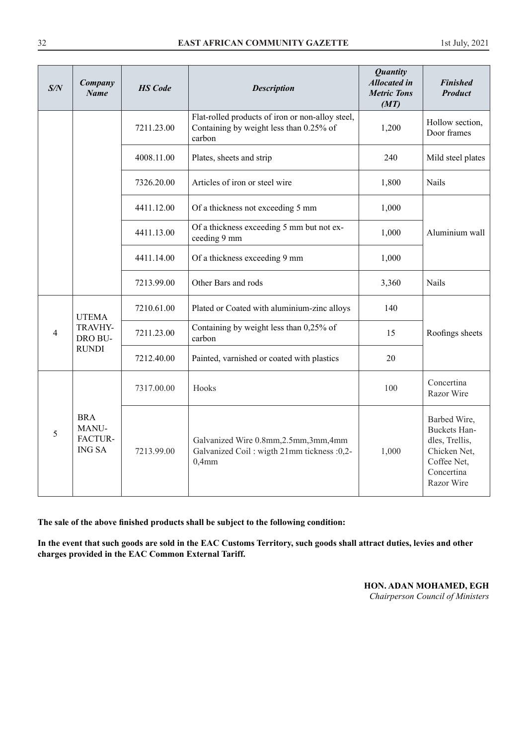| S/N            | Company<br><b>Name</b>                          | <b>HS</b> Code | <b>Description</b>                                                                                    | <b>Quantity</b><br><b>Allocated in</b><br><b>Metric Tons</b><br>(MT) | <b>Finished</b><br><b>Product</b>                                                                                       |
|----------------|-------------------------------------------------|----------------|-------------------------------------------------------------------------------------------------------|----------------------------------------------------------------------|-------------------------------------------------------------------------------------------------------------------------|
|                |                                                 | 7211.23.00     | Flat-rolled products of iron or non-alloy steel,<br>Containing by weight less than 0.25% of<br>carbon | 1,200                                                                | Hollow section,<br>Door frames                                                                                          |
|                |                                                 | 4008.11.00     | Plates, sheets and strip                                                                              | 240                                                                  | Mild steel plates                                                                                                       |
|                |                                                 | 7326.20.00     | Articles of iron or steel wire                                                                        | 1,800                                                                | Nails                                                                                                                   |
|                |                                                 | 4411.12.00     | Of a thickness not exceeding 5 mm                                                                     | 1,000                                                                |                                                                                                                         |
|                |                                                 | 4411.13.00     | Of a thickness exceeding 5 mm but not ex-<br>ceeding 9 mm                                             | 1,000                                                                | Aluminium wall                                                                                                          |
|                |                                                 | 4411.14.00     | Of a thickness exceeding 9 mm                                                                         | 1,000                                                                |                                                                                                                         |
|                |                                                 | 7213.99.00     | Other Bars and rods                                                                                   | 3,360                                                                | Nails                                                                                                                   |
|                | <b>UTEMA</b>                                    | 7210.61.00     | Plated or Coated with aluminium-zinc alloys                                                           | 140                                                                  |                                                                                                                         |
| $\overline{4}$ | TRAVHY-<br>DRO BU-                              | 7211.23.00     | Containing by weight less than 0,25% of<br>carbon                                                     | 15                                                                   | Roofings sheets                                                                                                         |
|                | <b>RUNDI</b>                                    | 7212.40.00     | Painted, varnished or coated with plastics                                                            | 20                                                                   |                                                                                                                         |
|                | <b>BRA</b><br>MANU-<br>FACTUR-<br><b>ING SA</b> | 7317.00.00     | Hooks                                                                                                 | 100                                                                  | Concertina<br>Razor Wire                                                                                                |
| 5              |                                                 | 7213.99.00     | Galvanized Wire 0.8mm, 2.5mm, 3mm, 4mm<br>Galvanized Coil: wigth 21mm tickness :0,2-<br>$0,4$ mm      | 1,000                                                                | Barbed Wire,<br><b>Buckets Han-</b><br>dles, Trellis,<br>Chicken Net,<br>Coffee Net,<br>Concertina<br><b>Razor Wire</b> |

**The sale of the above finished products shall be subject to the following condition:**

**In the event that such goods are sold in the EAC Customs Territory, such goods shall attract duties, levies and other charges provided in the EAC Common External Tariff.** 

**HON. ADAN MOHAMED, EGH** 

*Chairperson Council of Ministers*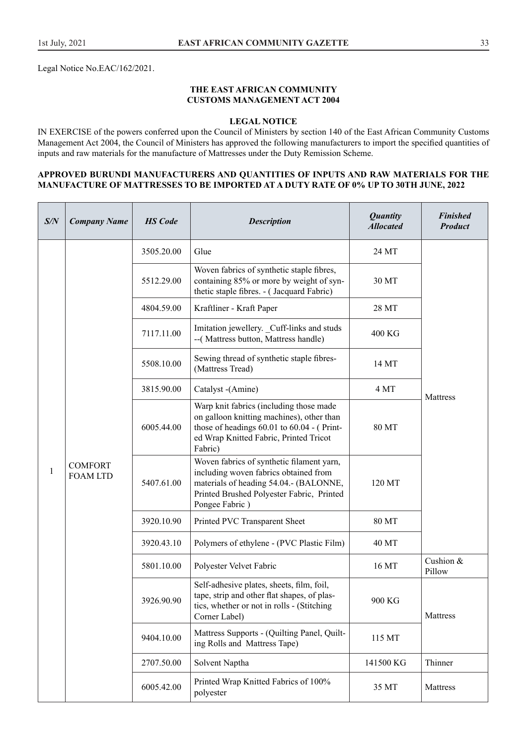#### **THE EAST AFRICAN COMMUNITY CUSTOMS MANAGEMENT ACT 2004**

#### **LEGAL NOTICE**

IN EXERCISE of the powers conferred upon the Council of Ministers by section 140 of the East African Community Customs Management Act 2004, the Council of Ministers has approved the following manufacturers to import the specified quantities of inputs and raw materials for the manufacture of Mattresses under the Duty Remission Scheme.

#### **APPROVED BURUNDI MANUFACTURERS AND QUANTITIES OF INPUTS AND RAW MATERIALS FOR THE MANUFACTURE OF MATTRESSES TO BE IMPORTED AT A DUTY RATE OF 0% UP TO 30TH JUNE, 2022**

| S/N | <b>Company Name</b>               | <b>HS</b> Code | <b>Description</b>                                                                                                                                                                          | <b>Quantity</b><br><b>Allocated</b> | <b>Finished</b><br><b>Product</b> |
|-----|-----------------------------------|----------------|---------------------------------------------------------------------------------------------------------------------------------------------------------------------------------------------|-------------------------------------|-----------------------------------|
|     |                                   | 3505.20.00     | Glue                                                                                                                                                                                        | 24 MT                               |                                   |
|     |                                   | 5512.29.00     | Woven fabrics of synthetic staple fibres,<br>containing 85% or more by weight of syn-<br>thetic staple fibres. - (Jacquard Fabric)                                                          | 30 MT                               |                                   |
|     |                                   | 4804.59.00     | Kraftliner - Kraft Paper                                                                                                                                                                    | 28 MT                               |                                   |
|     |                                   | 7117.11.00     | Imitation jewellery. _Cuff-links and studs<br>-- (Mattress button, Mattress handle)                                                                                                         | 400 KG                              |                                   |
|     |                                   | 5508.10.00     | Sewing thread of synthetic staple fibres-<br>(Mattress Tread)                                                                                                                               | 14 MT                               |                                   |
|     |                                   | 3815.90.00     | Catalyst -(Amine)                                                                                                                                                                           | 4 MT                                |                                   |
| 1   | <b>COMFORT</b><br><b>FOAM LTD</b> | 6005.44.00     | Warp knit fabrics (including those made<br>on galloon knitting machines), other than<br>those of headings $60.01$ to $60.04$ - (Print-<br>ed Wrap Knitted Fabric, Printed Tricot<br>Fabric) | <b>80 MT</b>                        | Mattress                          |
|     |                                   | 5407.61.00     | Woven fabrics of synthetic filament yarn,<br>including woven fabrics obtained from<br>materials of heading 54.04.- (BALONNE,<br>Printed Brushed Polyester Fabric, Printed<br>Pongee Fabric) | 120 MT                              |                                   |
|     |                                   | 3920.10.90     | Printed PVC Transparent Sheet                                                                                                                                                               | 80 MT                               |                                   |
|     |                                   | 3920.43.10     | Polymers of ethylene - (PVC Plastic Film)                                                                                                                                                   | 40 MT                               |                                   |
|     |                                   | 5801.10.00     | Polyester Velvet Fabric                                                                                                                                                                     | 16 MT                               | Cushion &<br>Pillow               |
|     |                                   | 3926.90.90     | Self-adhesive plates, sheets, film, foil,<br>tape, strip and other flat shapes, of plas-<br>tics, whether or not in rolls - (Stitching<br>Corner Label)                                     | 900 KG                              | Mattress                          |
|     |                                   | 9404.10.00     | Mattress Supports - (Quilting Panel, Quilt-<br>ing Rolls and Mattress Tape)                                                                                                                 | 115 MT                              |                                   |
|     |                                   | 2707.50.00     | Solvent Naptha                                                                                                                                                                              | 141500 KG                           | Thinner                           |
|     |                                   | 6005.42.00     | Printed Wrap Knitted Fabrics of 100%<br>polyester                                                                                                                                           | 35 MT                               | Mattress                          |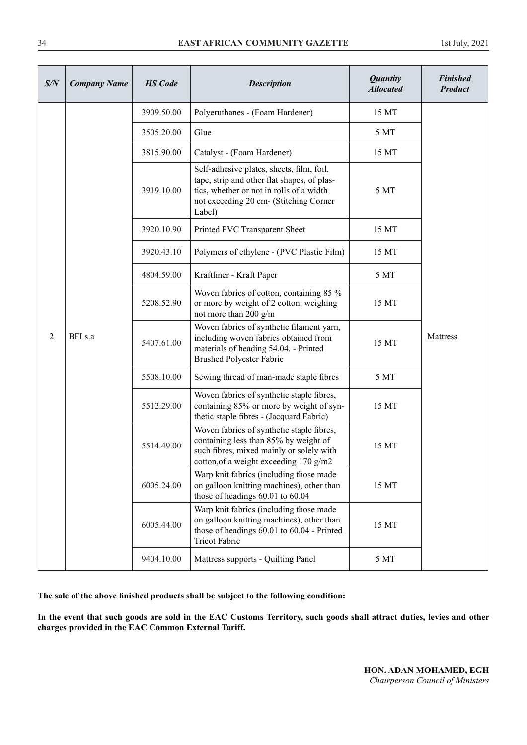| S/N            | <b>Company Name</b> | <b>HS</b> Code                                | <b>Description</b>                                                                                                                                                                       | <b>Quantity</b><br><b>Allocated</b> | <b>Finished</b><br><b>Product</b> |
|----------------|---------------------|-----------------------------------------------|------------------------------------------------------------------------------------------------------------------------------------------------------------------------------------------|-------------------------------------|-----------------------------------|
|                |                     | 3909.50.00                                    | Polyeruthanes - (Foam Hardener)                                                                                                                                                          | 15 MT                               |                                   |
|                |                     | 3505.20.00                                    | Glue                                                                                                                                                                                     | 5 MT                                |                                   |
|                |                     | 3815.90.00                                    | Catalyst - (Foam Hardener)                                                                                                                                                               | 15 MT                               |                                   |
|                |                     | 3919.10.00                                    | Self-adhesive plates, sheets, film, foil,<br>tape, strip and other flat shapes, of plas-<br>tics, whether or not in rolls of a width<br>not exceeding 20 cm- (Stitching Corner<br>Label) | 5 MT                                |                                   |
|                |                     | 3920.10.90                                    | Printed PVC Transparent Sheet                                                                                                                                                            | 15 MT                               |                                   |
|                |                     | 3920.43.10                                    | Polymers of ethylene - (PVC Plastic Film)                                                                                                                                                | 15 MT                               |                                   |
|                |                     | 4804.59.00                                    | Kraftliner - Kraft Paper                                                                                                                                                                 | 5 MT                                |                                   |
|                | BFI s.a             | 5208.52.90                                    | Woven fabrics of cotton, containing 85 %<br>or more by weight of 2 cotton, weighing<br>not more than 200 g/m                                                                             | 15 MT                               | Mattress                          |
| $\overline{2}$ |                     | 5407.61.00<br><b>Brushed Polyester Fabric</b> | Woven fabrics of synthetic filament yarn,<br>including woven fabrics obtained from<br>materials of heading 54.04. - Printed                                                              | 15 MT                               |                                   |
|                |                     | 5508.10.00                                    | Sewing thread of man-made staple fibres                                                                                                                                                  | 5 MT                                |                                   |
|                |                     | 5512.29.00                                    | Woven fabrics of synthetic staple fibres,<br>containing 85% or more by weight of syn-<br>thetic staple fibres - (Jacquard Fabric)                                                        | 15 MT                               |                                   |
|                |                     | 5514.49.00                                    | Woven fabrics of synthetic staple fibres,<br>containing less than 85% by weight of<br>such fibres, mixed mainly or solely with<br>cotton, of a weight exceeding 170 g/m2                 | 15 MT                               |                                   |
|                |                     | 6005.24.00                                    | Warp knit fabrics (including those made<br>on galloon knitting machines), other than<br>those of headings 60.01 to 60.04                                                                 | 15 MT                               |                                   |
|                |                     | 6005.44.00                                    | Warp knit fabrics (including those made<br>on galloon knitting machines), other than<br>those of headings 60.01 to 60.04 - Printed<br><b>Tricot Fabric</b>                               | 15 MT                               |                                   |
|                |                     | 9404.10.00                                    | Mattress supports - Quilting Panel                                                                                                                                                       | 5 MT                                |                                   |

**The sale of the above finished products shall be subject to the following condition:** 

**In the event that such goods are sold in the EAC Customs Territory, such goods shall attract duties, levies and other charges provided in the EAC Common External Tariff.**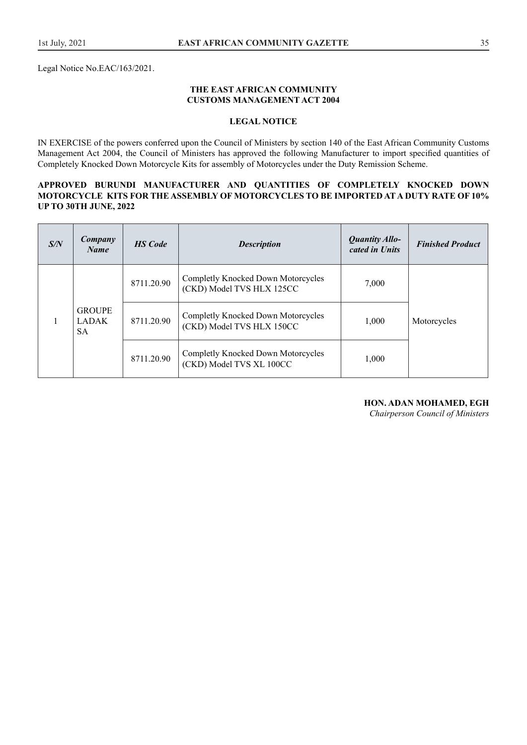Legal Notice No.EAC/163/2021.

#### **THE EAST AFRICAN COMMUNITY CUSTOMS MANAGEMENT ACT 2004**

#### **LEGAL NOTICE**

IN EXERCISE of the powers conferred upon the Council of Ministers by section 140 of the East African Community Customs Management Act 2004, the Council of Ministers has approved the following Manufacturer to import specified quantities of Completely Knocked Down Motorcycle Kits for assembly of Motorcycles under the Duty Remission Scheme.

#### **APPROVED BURUNDI MANUFACTURER AND QUANTITIES OF COMPLETELY KNOCKED DOWN MOTORCYCLE KITS FOR THE ASSEMBLY OF MOTORCYCLES TO BE IMPORTED AT A DUTY RATE OF 10% UP TO 30TH JUNE, 2022**

| S/N | Company<br><b>Name</b>                     | <b>HS</b> Code | <b>Description</b>                                              | <b>Quantity Allo-</b><br>cated in Units | <b>Finished Product</b> |
|-----|--------------------------------------------|----------------|-----------------------------------------------------------------|-----------------------------------------|-------------------------|
|     | <b>GROUPE</b><br><b>LADAK</b><br><b>SA</b> | 8711.20.90     | Completly Knocked Down Motorcycles<br>(CKD) Model TVS HLX 125CC | 7,000                                   |                         |
|     |                                            | 8711.20.90     | Completly Knocked Down Motorcycles<br>(CKD) Model TVS HLX 150CC | 1,000                                   | Motorcycles             |
|     |                                            | 8711.20.90     | Completly Knocked Down Motorcycles<br>(CKD) Model TVS XL 100CC  | 1,000                                   |                         |

# **HON. ADAN MOHAMED, EGH**

*Chairperson Council of Ministers*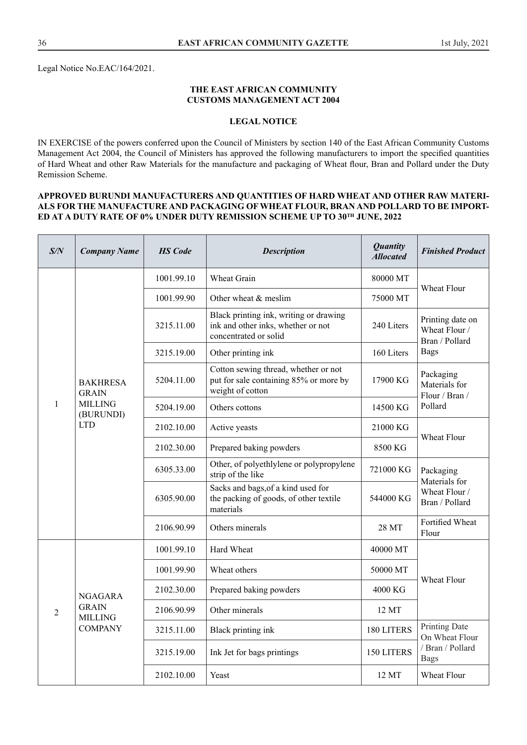#### **THE EAST AFRICAN COMMUNITY CUSTOMS MANAGEMENT ACT 2004**

#### **LEGAL NOTICE**

IN EXERCISE of the powers conferred upon the Council of Ministers by section 140 of the East African Community Customs Management Act 2004, the Council of Ministers has approved the following manufacturers to import the specified quantities of Hard Wheat and other Raw Materials for the manufacture and packaging of Wheat flour, Bran and Pollard under the Duty Remission Scheme.

#### **APPROVED BURUNDI MANUFACTURERS AND QUANTITIES OF HARD WHEAT AND OTHER RAW MATERI-ALS FOR THE MANUFACTURE AND PACKAGING OF WHEAT FLOUR, BRAN AND POLLARD TO BE IMPORT-ED AT A DUTY RATE OF 0% UNDER DUTY REMISSION SCHEME UP TO 30TH JUNE, 2022**

| S/N          | <b>Company Name</b>                                                          | <b>HS</b> Code | <b>Description</b>                                                                                    | <b>Quantity</b><br><b>Allocated</b> | <b>Finished Product</b>                                                   |
|--------------|------------------------------------------------------------------------------|----------------|-------------------------------------------------------------------------------------------------------|-------------------------------------|---------------------------------------------------------------------------|
| $\mathbf{1}$ | <b>BAKHRESA</b><br><b>GRAIN</b><br><b>MILLING</b><br>(BURUNDI)<br><b>LTD</b> | 1001.99.10     | Wheat Grain                                                                                           | 80000 MT                            | Wheat Flour                                                               |
|              |                                                                              | 1001.99.90     | Other wheat & meslim                                                                                  | 75000 MT                            |                                                                           |
|              |                                                                              | 3215.11.00     | Black printing ink, writing or drawing<br>ink and other inks, whether or not<br>concentrated or solid | 240 Liters                          | Printing date on<br>Wheat Flour /<br>Bran / Pollard<br><b>Bags</b>        |
|              |                                                                              | 3215.19.00     | Other printing ink                                                                                    | 160 Liters                          |                                                                           |
|              |                                                                              | 5204.11.00     | Cotton sewing thread, whether or not<br>put for sale containing 85% or more by<br>weight of cotton    | 17900 KG                            | Packaging<br>Materials for<br>Flour / Bran /<br>Pollard                   |
|              |                                                                              | 5204.19.00     | Others cottons                                                                                        | 14500 KG                            |                                                                           |
|              |                                                                              | 2102.10.00     | Active yeasts                                                                                         | 21000 KG                            | Wheat Flour                                                               |
|              |                                                                              | 2102.30.00     | Prepared baking powders                                                                               | 8500 KG                             |                                                                           |
|              |                                                                              | 6305.33.00     | Other, of polyethlylene or polypropylene<br>strip of the like                                         | 721000 KG                           | Packaging<br>Materials for<br>Wheat Flour /<br>Bran / Pollard             |
|              |                                                                              | 6305.90.00     | Sacks and bags, of a kind used for<br>the packing of goods, of other textile<br>materials             | 544000 KG                           |                                                                           |
|              |                                                                              | 2106.90.99     | Others minerals                                                                                       | 28 MT                               | Fortified Wheat<br>Flour                                                  |
| 2            | <b>NGAGARA</b><br><b>GRAIN</b><br><b>MILLING</b><br><b>COMPANY</b>           | 1001.99.10     | Hard Wheat                                                                                            | 40000 MT                            | Wheat Flour                                                               |
|              |                                                                              | 1001.99.90     | Wheat others                                                                                          | 50000 MT                            |                                                                           |
|              |                                                                              | 2102.30.00     | Prepared baking powders                                                                               | 4000 KG                             |                                                                           |
|              |                                                                              | 2106.90.99     | Other minerals                                                                                        | 12 MT                               |                                                                           |
|              |                                                                              | 3215.11.00     | Black printing ink                                                                                    | 180 LITERS                          | <b>Printing Date</b><br>On Wheat Flour<br>/ Bran / Pollard<br><b>Bags</b> |
|              |                                                                              | 3215.19.00     | Ink Jet for bags printings                                                                            | 150 LITERS                          |                                                                           |
|              |                                                                              | 2102.10.00     | Yeast                                                                                                 | 12 MT                               | <b>Wheat Flour</b>                                                        |